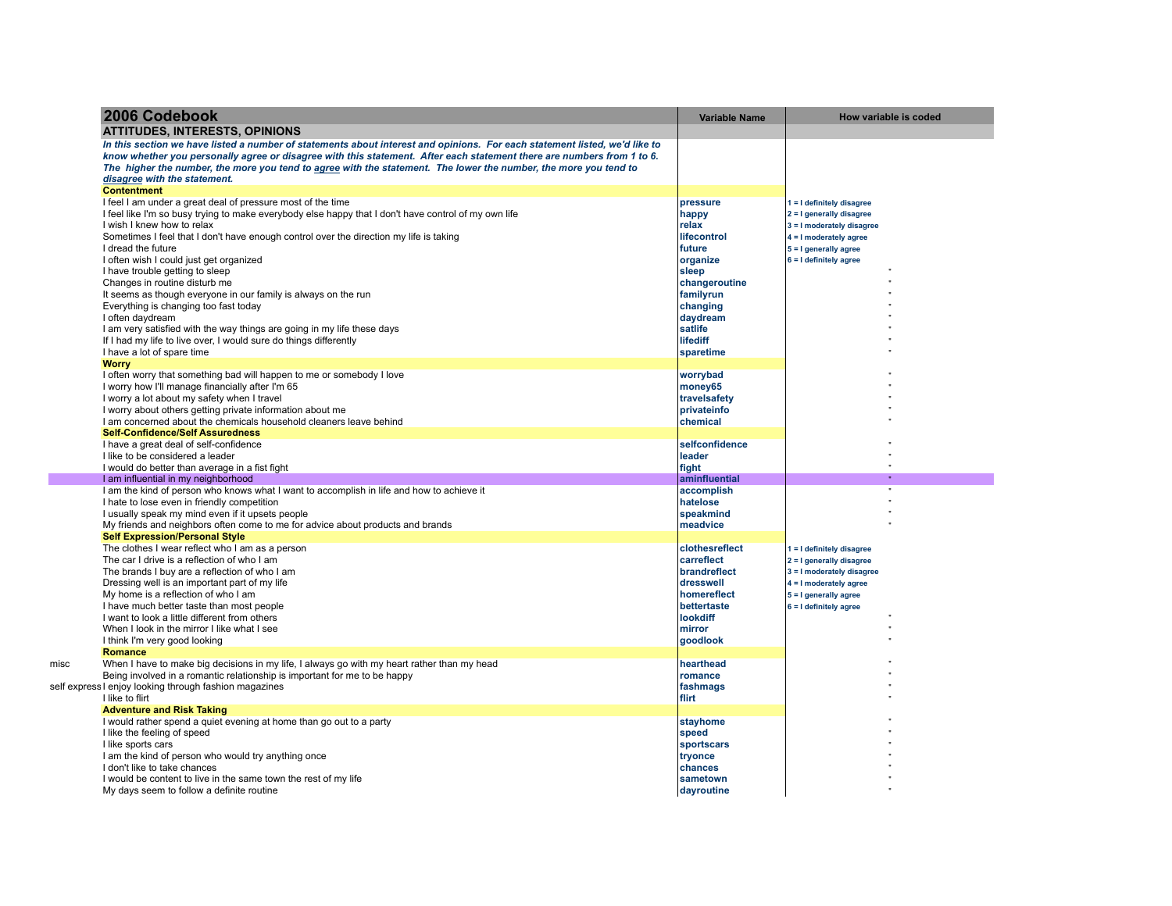| 2006 Codebook                                                                                                                      | <b>Variable Name</b>   | How variable is coded       |
|------------------------------------------------------------------------------------------------------------------------------------|------------------------|-----------------------------|
| <b>ATTITUDES, INTERESTS, OPINIONS</b>                                                                                              |                        |                             |
| In this section we have listed a number of statements about interest and opinions. For each statement listed, we'd like to         |                        |                             |
| know whether you personally agree or disagree with this statement. After each statement there are numbers from 1 to 6.             |                        |                             |
| The higher the number, the more you tend to agree with the statement. The lower the number, the more you tend to                   |                        |                             |
| disagree with the statement.                                                                                                       |                        |                             |
| <b>Contentment</b>                                                                                                                 |                        |                             |
| I feel I am under a great deal of pressure most of the time                                                                        | pressure               | $1 = I$ definitely disagree |
| I feel like I'm so busy trying to make everybody else happy that I don't have control of my own life                               | happy                  | 2 = I generally disagree    |
| I wish I knew how to relax                                                                                                         | relax                  | 3 = I moderately disagree   |
| Sometimes I feel that I don't have enough control over the direction my life is taking                                             | lifecontrol            | 4 = I moderately agree      |
| I dread the future                                                                                                                 | future                 | 5 = I generally agree       |
| I often wish I could just get organized<br>I have trouble getting to sleep                                                         | organize               | $6 = 1$ definitely agree    |
| Changes in routine disturb me                                                                                                      | sleep<br>changeroutine |                             |
| It seems as though everyone in our family is always on the run                                                                     | familyrun              |                             |
| Everything is changing too fast today                                                                                              | changing               |                             |
| I often daydream                                                                                                                   | daydream               |                             |
| I am very satisfied with the way things are going in my life these days                                                            | satlife                |                             |
| If I had my life to live over, I would sure do things differently                                                                  | lifediff               |                             |
| I have a lot of spare time                                                                                                         | sparetime              |                             |
| <b>Worry</b>                                                                                                                       |                        |                             |
| I often worry that something bad will happen to me or somebody I love                                                              | worrybad               |                             |
| I worry how I'll manage financially after I'm 65                                                                                   | money65                |                             |
| I worry a lot about my safety when I travel                                                                                        | travelsafety           |                             |
| I worry about others getting private information about me                                                                          | privateinfo            |                             |
| I am concerned about the chemicals household cleaners leave behind                                                                 | chemical               |                             |
| <b>Self-Confidence/Self Assuredness</b>                                                                                            |                        |                             |
| I have a great deal of self-confidence                                                                                             | selfconfidence         |                             |
| I like to be considered a leader                                                                                                   | leader                 |                             |
| I would do better than average in a fist fight                                                                                     | fight                  |                             |
| I am influential in my neighborhood                                                                                                | aminfluential          |                             |
| I am the kind of person who knows what I want to accomplish in life and how to achieve it                                          | accomplish             |                             |
| I hate to lose even in friendly competition                                                                                        | hatelose               |                             |
| I usually speak my mind even if it upsets people<br>My friends and neighbors often come to me for advice about products and brands | speakmind<br>meadvice  |                             |
| <b>Self Expression/Personal Style</b>                                                                                              |                        |                             |
| The clothes I wear reflect who I am as a person                                                                                    | clothesreflect         | 1 = I definitely disagree   |
| The car I drive is a reflection of who I am                                                                                        | carreflect             | 2 = I generally disagree    |
| The brands I buy are a reflection of who I am                                                                                      | brandreflect           | 3 = I moderately disagree   |
| Dressing well is an important part of my life                                                                                      | dresswell              | 4 = I moderately agree      |
| My home is a reflection of who I am                                                                                                | homereflect            | 5 = I generally agree       |
| I have much better taste than most people                                                                                          | bettertaste            | $6 = 1$ definitely agree    |
| I want to look a little different from others                                                                                      | lookdiff               |                             |
| When I look in the mirror I like what I see                                                                                        | mirror                 |                             |
| I think I'm very good looking                                                                                                      | goodlook               |                             |
| Romance                                                                                                                            |                        |                             |
| When I have to make big decisions in my life, I always go with my heart rather than my head                                        | hearthead              |                             |
| Being involved in a romantic relationship is important for me to be happy                                                          | romance                |                             |
| self express I enjoy looking through fashion magazines                                                                             | fashmags               |                             |
| I like to flirt                                                                                                                    | flirt                  |                             |
| <b>Adventure and Risk Taking</b>                                                                                                   |                        |                             |
| I would rather spend a quiet evening at home than go out to a party                                                                | stayhome               |                             |
| I like the feeling of speed                                                                                                        | speed                  |                             |
| I like sports cars                                                                                                                 | sportscars             |                             |
| I am the kind of person who would try anything once                                                                                | tryonce                |                             |
| I don't like to take chances                                                                                                       | chances                |                             |
| I would be content to live in the same town the rest of my life                                                                    | sametown               |                             |
| My days seem to follow a definite routine                                                                                          | dayroutine             |                             |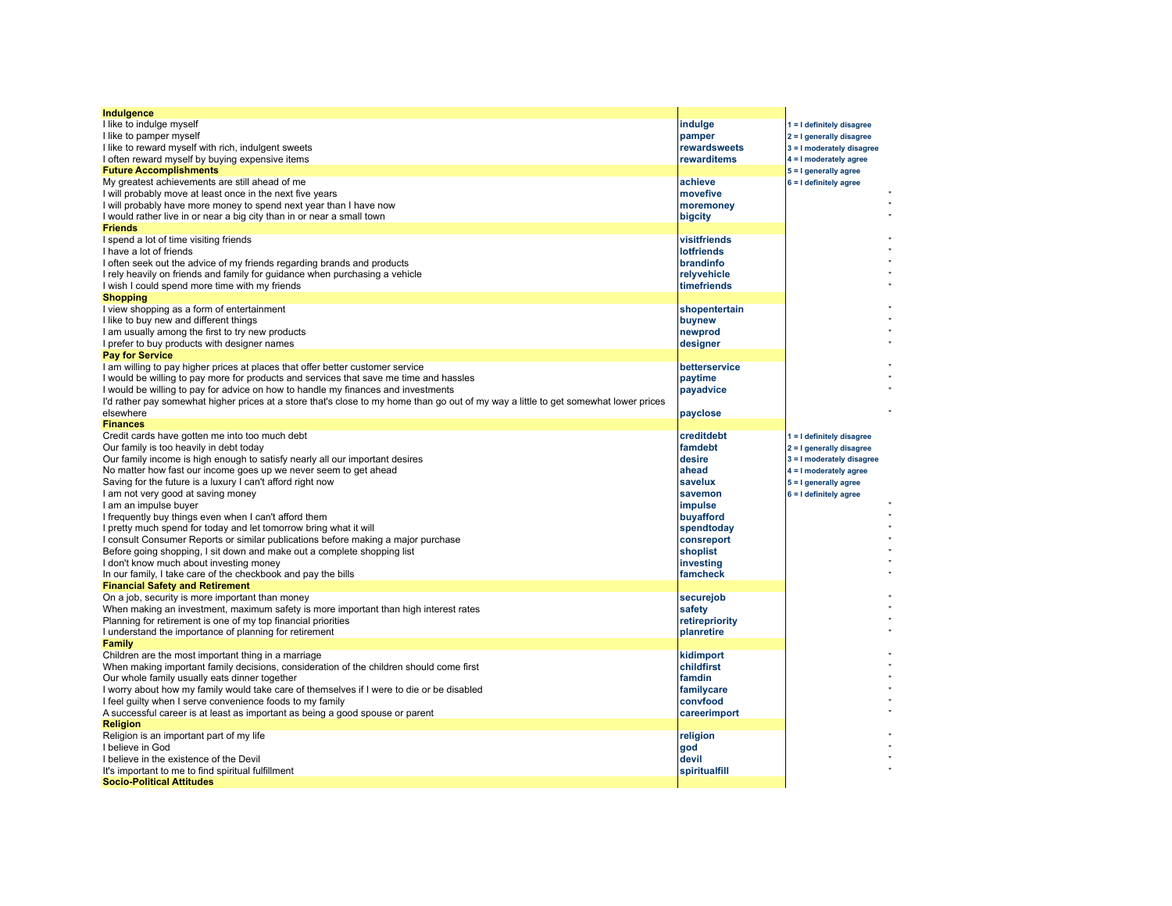| Indulgence                                                                                                                              |                          |                            |
|-----------------------------------------------------------------------------------------------------------------------------------------|--------------------------|----------------------------|
| I like to indulge myself                                                                                                                | indulge                  | 1 = I definitely disagree  |
| I like to pamper myself                                                                                                                 | pamper                   | 2 = I generally disagree   |
| I like to reward myself with rich, indulgent sweets                                                                                     | rewardsweets             | 3 = I moderately disagree  |
| I often reward myself by buying expensive items                                                                                         | rewarditems              | 4 = I moderately agree     |
| <b>Future Accomplishments</b>                                                                                                           |                          | 5 = I generally agree      |
| My greatest achievements are still ahead of me                                                                                          | achieve                  | 6 = I definitely agree     |
| I will probably move at least once in the next five years                                                                               | movefive                 |                            |
| I will probably have more money to spend next year than I have now                                                                      | moremoney                |                            |
| I would rather live in or near a big city than in or near a small town                                                                  | bigcity                  |                            |
| <b>Friends</b>                                                                                                                          |                          |                            |
| I spend a lot of time visiting friends                                                                                                  | visitfriends             |                            |
| I have a lot of friends                                                                                                                 | <b>lotfriends</b>        |                            |
| I often seek out the advice of my friends regarding brands and products                                                                 | brandinfo                |                            |
| I rely heavily on friends and family for quidance when purchasing a vehicle                                                             | relyvehicle              |                            |
| I wish I could spend more time with my friends                                                                                          | timefriends              |                            |
| <b>Shopping</b>                                                                                                                         |                          |                            |
| I view shopping as a form of entertainment                                                                                              | shopentertain            |                            |
| I like to buy new and different things                                                                                                  | buynew                   |                            |
| I am usually among the first to try new products                                                                                        | newprod                  |                            |
| I prefer to buy products with designer names                                                                                            | designer                 |                            |
| <b>Pay for Service</b>                                                                                                                  |                          |                            |
| I am willing to pay higher prices at places that offer better customer service                                                          | betterservice            |                            |
| I would be willing to pay more for products and services that save me time and hassles                                                  | paytime                  |                            |
| I would be willing to pay for advice on how to handle my finances and investments                                                       | payadvice                |                            |
| I'd rather pay somewhat higher prices at a store that's close to my home than go out of my way a little to get somewhat lower prices    |                          |                            |
| elsewhere                                                                                                                               | payclose                 |                            |
| <b>Finances</b>                                                                                                                         |                          |                            |
| Credit cards have gotten me into too much debt                                                                                          | creditdebt               | 1 = I definitely disagree  |
| Our family is too heavily in debt today                                                                                                 | famdebt                  | $2 = I$ generally disagree |
| Our family income is high enough to satisfy nearly all our important desires                                                            | desire                   | 3 = I moderately disagree  |
| No matter how fast our income goes up we never seem to get ahead                                                                        | ahead                    | $4 = 1$ moderately agree   |
| Saving for the future is a luxury I can't afford right now                                                                              | savelux                  | 5 = I generally agree      |
| I am not very good at saving money                                                                                                      | savemon                  | $6 = 1$ definitely agree   |
| I am an impulse buyer                                                                                                                   | impulse                  |                            |
| I frequently buy things even when I can't afford them                                                                                   | buyafford                |                            |
| I pretty much spend for today and let tomorrow bring what it will                                                                       | spendtoday               |                            |
| I consult Consumer Reports or similar publications before making a major purchase                                                       | consreport               |                            |
| Before going shopping, I sit down and make out a complete shopping list                                                                 | shoplist                 |                            |
| I don't know much about investing money                                                                                                 | investing                |                            |
| In our family, I take care of the checkbook and pay the bills                                                                           | famcheck                 |                            |
| <b>Financial Safety and Retirement</b>                                                                                                  |                          |                            |
| On a job, security is more important than money<br>When making an investment, maximum safety is more important than high interest rates | securejob                |                            |
|                                                                                                                                         | safety<br>retirepriority |                            |
| Planning for retirement is one of my top financial priorities                                                                           | planretire               |                            |
| I understand the importance of planning for retirement<br>Family                                                                        |                          |                            |
| Children are the most important thing in a marriage                                                                                     | kidimport                |                            |
| When making important family decisions, consideration of the children should come first                                                 | childfirst               |                            |
| Our whole family usually eats dinner together                                                                                           | famdin                   |                            |
| I worry about how my family would take care of themselves if I were to die or be disabled                                               | familycare               |                            |
| I feel guilty when I serve convenience foods to my family                                                                               | convfood                 |                            |
| A successful career is at least as important as being a good spouse or parent                                                           | careerimport             |                            |
| <b>Religion</b>                                                                                                                         |                          |                            |
| Religion is an important part of my life                                                                                                | religion                 |                            |
| I believe in God                                                                                                                        | god                      |                            |
| I believe in the existence of the Devil                                                                                                 | devil                    |                            |
| It's important to me to find spiritual fulfillment                                                                                      | spiritualfill            |                            |
| <b>Socio-Political Attitudes</b>                                                                                                        |                          |                            |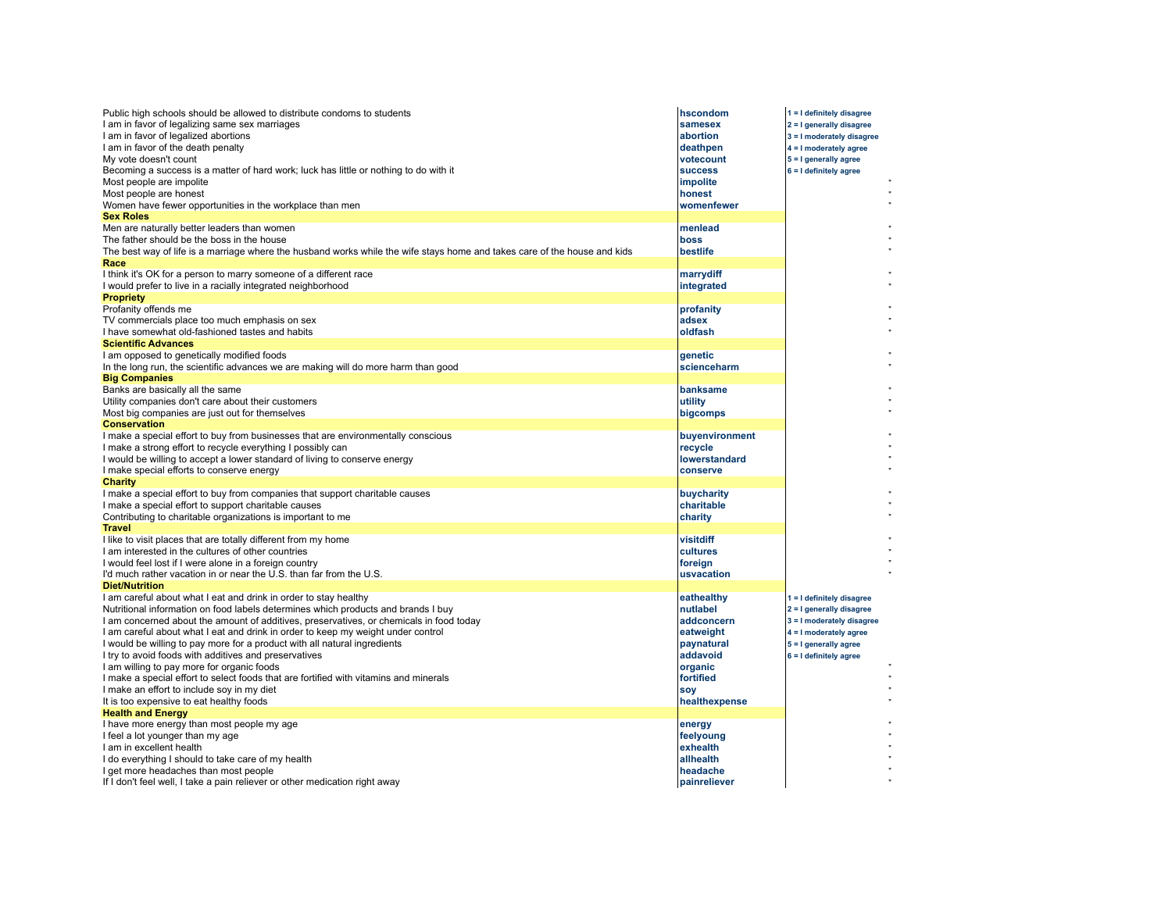| Public high schools should be allowed to distribute condoms to students<br>I am in favor of legalizing same sex marriages<br>I am in favor of legalized abortions<br>I am in favor of the death penalty<br>My vote doesn't count<br>Becoming a success is a matter of hard work; luck has little or nothing to do with it<br>Most people are impolite<br>Most people are honest<br>Women have fewer opportunities in the workplace than men<br><b>Sex Roles</b>                                                                                                                                                                                                                                                                      | hscondom<br>samesex<br>abortion<br>deathpen<br>votecount<br><b>success</b><br>impolite<br>honest<br>womenfewer                     | 1 = I definitely disagree<br>2 = I generally disagree<br>3 = I moderately disagree<br>4 = I moderately agree<br>5 = I generally agree<br>$6 = 1$ definitely agree |
|--------------------------------------------------------------------------------------------------------------------------------------------------------------------------------------------------------------------------------------------------------------------------------------------------------------------------------------------------------------------------------------------------------------------------------------------------------------------------------------------------------------------------------------------------------------------------------------------------------------------------------------------------------------------------------------------------------------------------------------|------------------------------------------------------------------------------------------------------------------------------------|-------------------------------------------------------------------------------------------------------------------------------------------------------------------|
| Men are naturally better leaders than women<br>The father should be the boss in the house<br>The best way of life is a marriage where the husband works while the wife stays home and takes care of the house and kids                                                                                                                                                                                                                                                                                                                                                                                                                                                                                                               | menlead<br><b>boss</b><br>bestlife                                                                                                 |                                                                                                                                                                   |
| Race<br>I think it's OK for a person to marry someone of a different race<br>I would prefer to live in a racially integrated neighborhood                                                                                                                                                                                                                                                                                                                                                                                                                                                                                                                                                                                            | marrydiff<br>integrated                                                                                                            |                                                                                                                                                                   |
| <b>Propriety</b><br>Profanity offends me<br>TV commercials place too much emphasis on sex<br>I have somewhat old-fashioned tastes and habits                                                                                                                                                                                                                                                                                                                                                                                                                                                                                                                                                                                         | profanity<br>adsex<br>oldfash                                                                                                      |                                                                                                                                                                   |
| <b>Scientific Advances</b><br>I am opposed to genetically modified foods<br>In the long run, the scientific advances we are making will do more harm than good                                                                                                                                                                                                                                                                                                                                                                                                                                                                                                                                                                       | genetic<br>scienceharm                                                                                                             |                                                                                                                                                                   |
| <b>Big Companies</b><br>Banks are basically all the same<br>Utility companies don't care about their customers<br>Most big companies are just out for themselves<br><b>Conservation</b>                                                                                                                                                                                                                                                                                                                                                                                                                                                                                                                                              | banksame<br>utility<br>bigcomps                                                                                                    |                                                                                                                                                                   |
| I make a special effort to buy from businesses that are environmentally conscious<br>I make a strong effort to recycle everything I possibly can<br>I would be willing to accept a lower standard of living to conserve energy<br>I make special efforts to conserve energy                                                                                                                                                                                                                                                                                                                                                                                                                                                          | buyenvironment<br>recycle<br>lowerstandard<br>conserve                                                                             |                                                                                                                                                                   |
| <b>Charity</b><br>I make a special effort to buy from companies that support charitable causes<br>I make a special effort to support charitable causes<br>Contributing to charitable organizations is important to me                                                                                                                                                                                                                                                                                                                                                                                                                                                                                                                | buycharity<br>charitable<br>charity                                                                                                |                                                                                                                                                                   |
| <b>Travel</b><br>I like to visit places that are totally different from my home<br>I am interested in the cultures of other countries<br>I would feel lost if I were alone in a foreign country<br>I'd much rather vacation in or near the U.S. than far from the U.S.                                                                                                                                                                                                                                                                                                                                                                                                                                                               | visitdiff<br>cultures<br>foreign<br>usvacation                                                                                     |                                                                                                                                                                   |
| <b>Diet/Nutrition</b><br>I am careful about what I eat and drink in order to stay healthy<br>Nutritional information on food labels determines which products and brands I buy<br>I am concerned about the amount of additives, preservatives, or chemicals in food today<br>I am careful about what I eat and drink in order to keep my weight under control<br>I would be willing to pay more for a product with all natural ingredients<br>I try to avoid foods with additives and preservatives<br>I am willing to pay more for organic foods<br>I make a special effort to select foods that are fortified with vitamins and minerals<br>I make an effort to include soy in my diet<br>It is too expensive to eat healthy foods | eathealthy<br>nutlabel<br>addconcern<br>eatweight<br>paynatural<br>addavoid<br>organic<br>fortified<br><b>SOV</b><br>healthexpense | 1 = I definitely disagree<br>2 = I generally disagree<br>3 = I moderately disagree<br>4 = I moderately agree<br>5 = I generally agree<br>6 = I definitely agree   |
| <b>Health and Energy</b><br>I have more energy than most people my age<br>I feel a lot younger than my age<br>I am in excellent health<br>I do everything I should to take care of my health<br>I get more headaches than most people<br>If I don't feel well, I take a pain reliever or other medication right away                                                                                                                                                                                                                                                                                                                                                                                                                 | energy<br>feelyoung<br>exhealth<br>allhealth<br>headache<br>painreliever                                                           |                                                                                                                                                                   |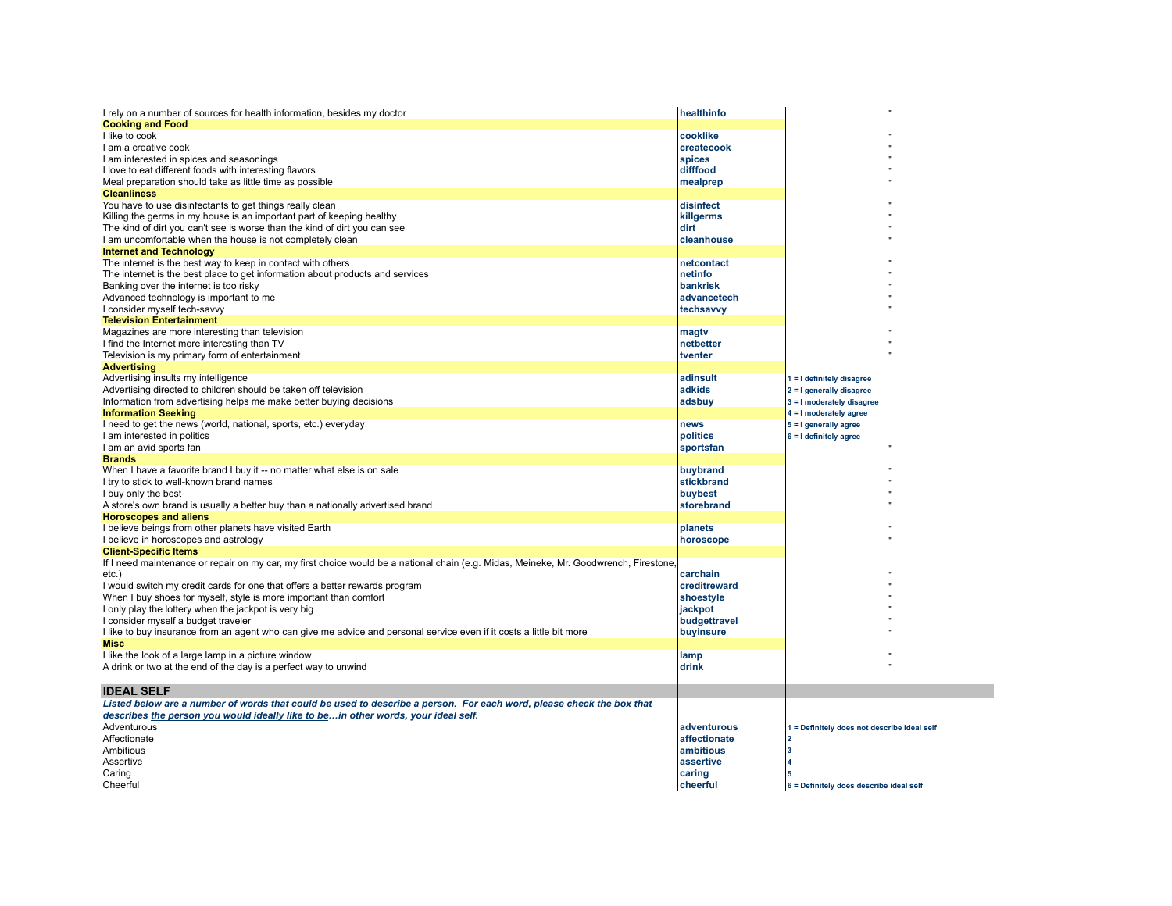| I rely on a number of sources for health information, besides my doctor<br><b>Cooking and Food</b>                                    | healthinfo      |                                             |
|---------------------------------------------------------------------------------------------------------------------------------------|-----------------|---------------------------------------------|
| I like to cook                                                                                                                        | cooklike        |                                             |
| I am a creative cook                                                                                                                  | createcook      |                                             |
| I am interested in spices and seasonings                                                                                              | spices          |                                             |
| I love to eat different foods with interesting flavors                                                                                | difffood        |                                             |
| Meal preparation should take as little time as possible                                                                               | mealprep        |                                             |
| <b>Cleanliness</b>                                                                                                                    |                 |                                             |
| You have to use disinfectants to get things really clean                                                                              | disinfect       |                                             |
|                                                                                                                                       |                 |                                             |
| Killing the germs in my house is an important part of keeping healthy                                                                 | killgerms       |                                             |
| The kind of dirt you can't see is worse than the kind of dirt you can see                                                             | dirt            |                                             |
| I am uncomfortable when the house is not completely clean                                                                             | cleanhouse      |                                             |
| <b>Internet and Technology</b>                                                                                                        |                 |                                             |
| The internet is the best way to keep in contact with others                                                                           | netcontact      |                                             |
| The internet is the best place to get information about products and services                                                         | netinfo         |                                             |
| Banking over the internet is too risky                                                                                                | <b>bankrisk</b> |                                             |
| Advanced technology is important to me                                                                                                | advancetech     |                                             |
| I consider myself tech-savvy                                                                                                          | techsavvy       |                                             |
| <b>Television Entertainment</b>                                                                                                       |                 |                                             |
| Magazines are more interesting than television                                                                                        | magtv           |                                             |
| I find the Internet more interesting than TV                                                                                          | netbetter       |                                             |
|                                                                                                                                       | tventer         |                                             |
| Television is my primary form of entertainment                                                                                        |                 |                                             |
| <b>Advertising</b>                                                                                                                    |                 |                                             |
| Advertising insults my intelligence                                                                                                   | adinsult        | 1 = I definitely disagree                   |
| Advertising directed to children should be taken off television                                                                       | adkids          | 2 = I generally disagree                    |
| Information from advertising helps me make better buying decisions                                                                    | adsbuy          | 3 = I moderately disagree                   |
| <b>Information Seeking</b>                                                                                                            |                 | $4 = 1$ moderately agree                    |
| I need to get the news (world, national, sports, etc.) everyday                                                                       | news            | 5 = I generally agree                       |
| I am interested in politics                                                                                                           | politics        | $6 = 1$ definitely agree                    |
| I am an avid sports fan                                                                                                               | sportsfan       |                                             |
| <b>Brands</b>                                                                                                                         |                 |                                             |
| When I have a favorite brand I buy it -- no matter what else is on sale                                                               | buybrand        |                                             |
| I try to stick to well-known brand names                                                                                              | stickbrand      |                                             |
| I buy only the best                                                                                                                   | buybest         |                                             |
| A store's own brand is usually a better buy than a nationally advertised brand                                                        | storebrand      |                                             |
| <b>Horoscopes and aliens</b>                                                                                                          |                 |                                             |
| I believe beings from other planets have visited Earth                                                                                | planets         |                                             |
|                                                                                                                                       |                 |                                             |
| I believe in horoscopes and astrology                                                                                                 | horoscope       |                                             |
| <b>Client-Specific Items</b>                                                                                                          |                 |                                             |
| If I need maintenance or repair on my car, my first choice would be a national chain (e.g. Midas, Meineke, Mr. Goodwrench, Firestone, |                 |                                             |
| etc.)                                                                                                                                 | carchain        |                                             |
| I would switch my credit cards for one that offers a better rewards program                                                           | creditreward    |                                             |
| When I buy shoes for myself, style is more important than comfort                                                                     | shoestyle       |                                             |
| I only play the lottery when the jackpot is very big                                                                                  | jackpot         |                                             |
| I consider myself a budget traveler                                                                                                   | budgettravel    |                                             |
| I like to buy insurance from an agent who can give me advice and personal service even if it costs a little bit more                  | buyinsure       |                                             |
| Misc                                                                                                                                  |                 |                                             |
| I like the look of a large lamp in a picture window                                                                                   | lamp            |                                             |
| A drink or two at the end of the day is a perfect way to unwind                                                                       | drink           |                                             |
|                                                                                                                                       |                 |                                             |
| <b>IDEAL SELF</b>                                                                                                                     |                 |                                             |
| Listed below are a number of words that could be used to describe a person. For each word, please check the box that                  |                 |                                             |
| describes the person you would ideally like to bein other words, your ideal self.                                                     |                 |                                             |
| Adventurous                                                                                                                           | adventurous     | 1 = Definitely does not describe ideal self |
| Affectionate                                                                                                                          | affectionate    |                                             |
| Ambitious                                                                                                                             | ambitious       |                                             |
| Assertive                                                                                                                             | assertive       |                                             |
|                                                                                                                                       |                 |                                             |
| Caring                                                                                                                                | caring          |                                             |
| Cheerful                                                                                                                              | cheerful        | 6 = Definitely does describe ideal self     |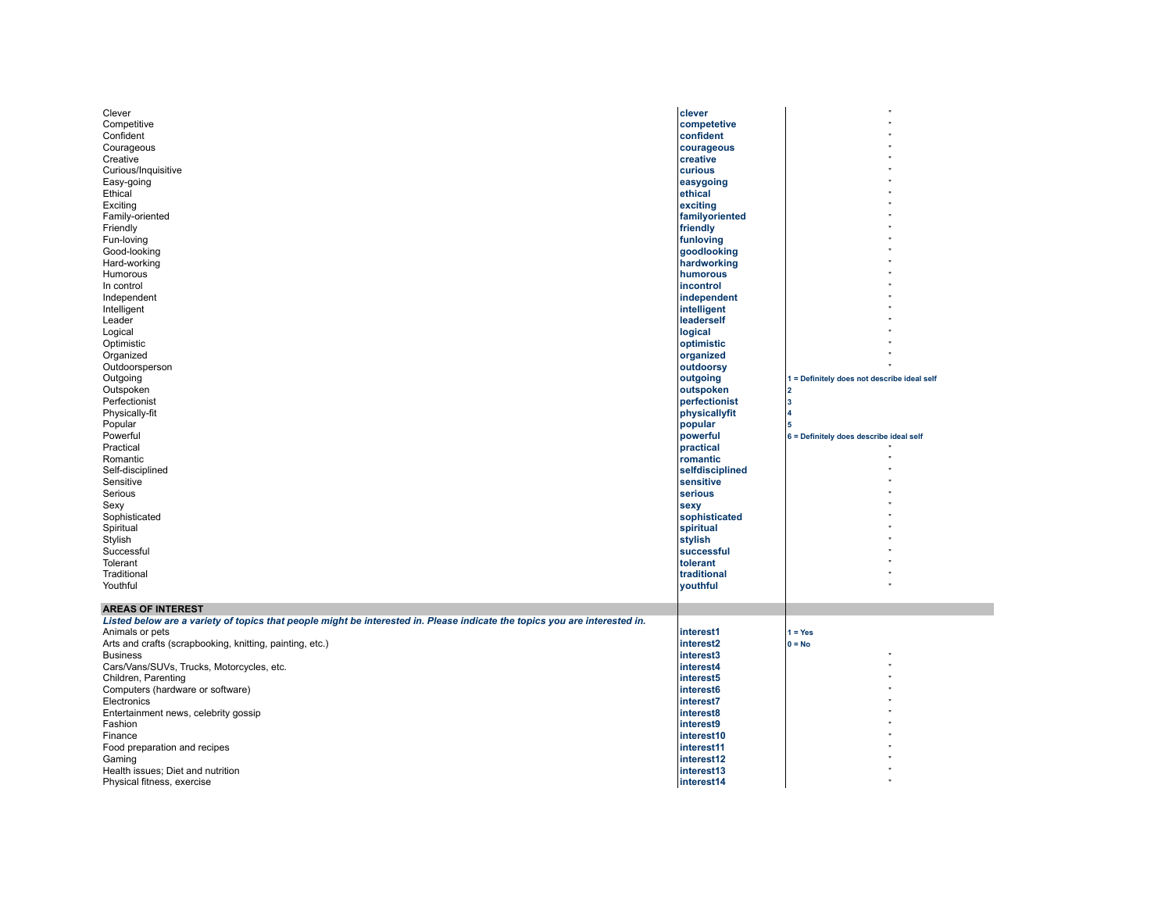| Clever                                                                                                                     | clever                   |                                             |
|----------------------------------------------------------------------------------------------------------------------------|--------------------------|---------------------------------------------|
|                                                                                                                            |                          |                                             |
| Competitive                                                                                                                | competetive              |                                             |
| Confident                                                                                                                  | confident                |                                             |
| Courageous                                                                                                                 | courageous               |                                             |
| Creative                                                                                                                   | creative                 |                                             |
|                                                                                                                            | curious                  |                                             |
| Curious/Inquisitive                                                                                                        |                          |                                             |
| Easy-going                                                                                                                 | easygoing                |                                             |
| Ethical                                                                                                                    | ethical                  |                                             |
| Exciting                                                                                                                   | exciting                 |                                             |
| Family-oriented                                                                                                            | familyoriented           |                                             |
|                                                                                                                            |                          |                                             |
| Friendly                                                                                                                   | friendly                 |                                             |
| Fun-loving                                                                                                                 | funloving                |                                             |
| Good-looking                                                                                                               | goodlooking              |                                             |
| Hard-working                                                                                                               | hardworking              |                                             |
|                                                                                                                            |                          |                                             |
| Humorous                                                                                                                   | humorous                 |                                             |
| In control                                                                                                                 | incontrol                |                                             |
| Independent                                                                                                                | independent              |                                             |
| Intelligent                                                                                                                | intelligent              |                                             |
| Leader                                                                                                                     | leaderself               |                                             |
|                                                                                                                            |                          |                                             |
| Logical                                                                                                                    | logical                  |                                             |
| Optimistic                                                                                                                 | optimistic               |                                             |
| Organized                                                                                                                  | organized                |                                             |
| Outdoorsperson                                                                                                             | outdoorsy                |                                             |
|                                                                                                                            |                          |                                             |
| Outgoing                                                                                                                   | outgoing                 | 1 = Definitely does not describe ideal self |
| Outspoken                                                                                                                  | outspoken                |                                             |
| Perfectionist                                                                                                              | perfectionist            |                                             |
| Physically-fit                                                                                                             | physicallyfit            |                                             |
| Popular                                                                                                                    | popular                  |                                             |
|                                                                                                                            |                          |                                             |
| Powerful                                                                                                                   | powerful                 | 6 = Definitely does describe ideal self     |
| Practical                                                                                                                  | practical                |                                             |
| Romantic                                                                                                                   | romantic                 |                                             |
| Self-disciplined                                                                                                           | selfdisciplined          |                                             |
| Sensitive                                                                                                                  | sensitive                |                                             |
|                                                                                                                            |                          |                                             |
| Serious                                                                                                                    | serious                  |                                             |
| Sexy                                                                                                                       | sexy                     |                                             |
| Sophisticated                                                                                                              | sophisticated            |                                             |
| Spiritual                                                                                                                  | spiritual                |                                             |
|                                                                                                                            |                          |                                             |
| Stylish                                                                                                                    | stylish                  |                                             |
| Successful                                                                                                                 | successful               |                                             |
| Tolerant                                                                                                                   | tolerant                 |                                             |
| Traditional                                                                                                                | traditional              |                                             |
| Youthful                                                                                                                   | youthful                 |                                             |
|                                                                                                                            |                          |                                             |
|                                                                                                                            |                          |                                             |
| <b>AREAS OF INTEREST</b>                                                                                                   |                          |                                             |
| Listed below are a variety of topics that people might be interested in. Please indicate the topics you are interested in. |                          |                                             |
| Animals or pets                                                                                                            | interest1                | $1 = Yes$                                   |
|                                                                                                                            | interest2                | $0 = No$                                    |
| Arts and crafts (scrapbooking, knitting, painting, etc.)                                                                   |                          |                                             |
| <b>Business</b>                                                                                                            | interest3                |                                             |
| Cars/Vans/SUVs, Trucks, Motorcycles, etc.                                                                                  | interest4                |                                             |
| Children, Parenting                                                                                                        | interest5                |                                             |
| Computers (hardware or software)                                                                                           | interest6                |                                             |
|                                                                                                                            |                          |                                             |
| Electronics                                                                                                                | interest7                |                                             |
| Entertainment news, celebrity gossip                                                                                       | interest8                |                                             |
| Fashion                                                                                                                    | interest9                |                                             |
| Finance                                                                                                                    | interest10               |                                             |
| Food preparation and recipes                                                                                               | interest11               |                                             |
|                                                                                                                            |                          |                                             |
| Gaming                                                                                                                     | interest12               |                                             |
|                                                                                                                            |                          |                                             |
| Health issues; Diet and nutrition<br>Physical fitness, exercise                                                            | interest13<br>interest14 |                                             |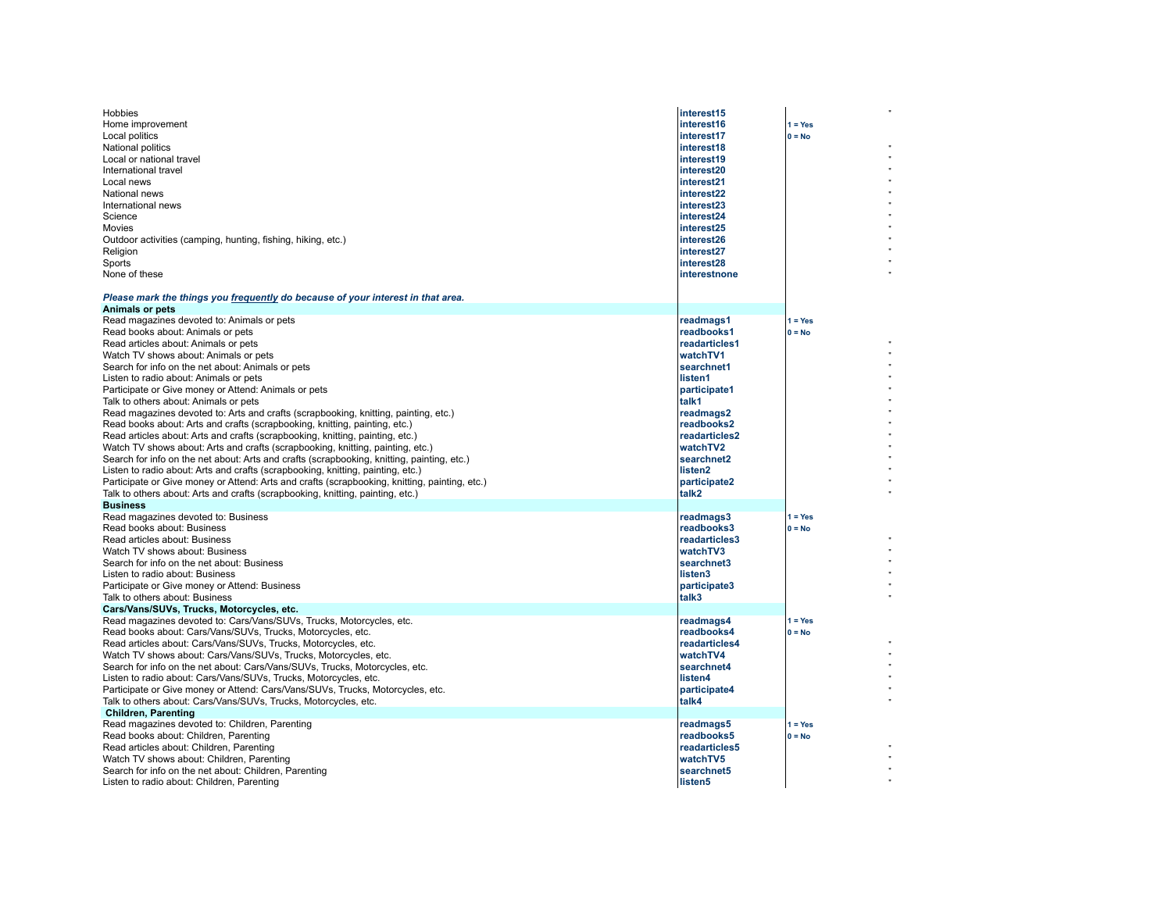| <b>Hobbies</b><br>Home improvement<br>Local politics<br>National politics<br>Local or national travel<br>International travel<br>Local news<br>National news<br>International news<br>Science<br>Movies<br>Outdoor activities (camping, hunting, fishing, hiking, etc.)<br>Religion<br>Sports<br>None of these                                                                                                                                                                                                                                                                                                                                                                                                                                                                                                                                                                                                                                                                                                                                                                                                                                                                            | interest15<br>interest16<br>interest17<br>interest18<br>interest19<br>interest20<br>interest21<br>interest22<br>interest23<br>interest24<br>interest25<br>interest26<br>interest27<br>interest28<br>interestnone               | $1 = Yes$<br>$0 = No$                          |  |
|-------------------------------------------------------------------------------------------------------------------------------------------------------------------------------------------------------------------------------------------------------------------------------------------------------------------------------------------------------------------------------------------------------------------------------------------------------------------------------------------------------------------------------------------------------------------------------------------------------------------------------------------------------------------------------------------------------------------------------------------------------------------------------------------------------------------------------------------------------------------------------------------------------------------------------------------------------------------------------------------------------------------------------------------------------------------------------------------------------------------------------------------------------------------------------------------|--------------------------------------------------------------------------------------------------------------------------------------------------------------------------------------------------------------------------------|------------------------------------------------|--|
| Please mark the things you frequently do because of your interest in that area.<br><b>Animals or pets</b><br>Read magazines devoted to: Animals or pets<br>Read books about: Animals or pets<br>Read articles about: Animals or pets<br>Watch TV shows about: Animals or pets<br>Search for info on the net about: Animals or pets<br>Listen to radio about: Animals or pets<br>Participate or Give money or Attend: Animals or pets<br>Talk to others about: Animals or pets<br>Read magazines devoted to: Arts and crafts (scrapbooking, knitting, painting, etc.)<br>Read books about: Arts and crafts (scrapbooking, knitting, painting, etc.)<br>Read articles about: Arts and crafts (scrapbooking, knitting, painting, etc.)<br>Watch TV shows about: Arts and crafts (scrapbooking, knitting, painting, etc.)<br>Search for info on the net about: Arts and crafts (scrapbooking, knitting, painting, etc.)<br>Listen to radio about: Arts and crafts (scrapbooking, knitting, painting, etc.)<br>Participate or Give money or Attend: Arts and crafts (scrapbooking, knitting, painting, etc.)<br>Talk to others about: Arts and crafts (scrapbooking, knitting, painting, etc.) | readmags1<br>readbooks1<br>readarticles1<br>watchTV1<br>searchnet1<br>llisten1<br>participate1<br>ltalk1<br>readmags2<br>readbooks2<br>readarticles2<br>watchTV2<br>searchnet2<br>listen <sub>2</sub><br>participate2<br>talk2 | $1 = Yes$<br>$0 = No$                          |  |
| <b>Business</b><br>Read magazines devoted to: Business<br>Read books about: Business<br>Read articles about: Business<br>Watch TV shows about: Business<br>Search for info on the net about: Business<br>Listen to radio about: Business<br>Participate or Give money or Attend: Business<br>Talk to others about: Business<br>Cars/Vans/SUVs, Trucks, Motorcycles, etc.<br>Read magazines devoted to: Cars/Vans/SUVs, Trucks, Motorcycles, etc.<br>Read books about: Cars/Vans/SUVs, Trucks, Motorcycles, etc.<br>Read articles about: Cars/Vans/SUVs, Trucks, Motorcycles, etc.<br>Watch TV shows about: Cars/Vans/SUVs, Trucks, Motorcycles, etc.<br>Search for info on the net about: Cars/Vans/SUVs, Trucks, Motorcycles, etc.<br>Listen to radio about: Cars/Vans/SUVs, Trucks, Motorcycles, etc.                                                                                                                                                                                                                                                                                                                                                                                   | readmags3<br>readbooks3<br>readarticles3<br>watchTV3<br>searchnet3<br>listen3<br>participate3<br>talk3<br>readmags4<br>readbooks4<br>readarticles4<br>watchTV4<br>searchnet4<br>listen4                                        | $1 = Yes$<br>$0 = No$<br>$1 = Yes$<br>$0 = No$ |  |
| Participate or Give money or Attend: Cars/Vans/SUVs, Trucks, Motorcycles, etc.<br>Talk to others about: Cars/Vans/SUVs, Trucks, Motorcycles, etc.<br><b>Children, Parenting</b><br>Read magazines devoted to: Children, Parenting<br>Read books about: Children, Parenting<br>Read articles about: Children, Parenting<br>Watch TV shows about: Children, Parenting<br>Search for info on the net about: Children, Parenting<br>Listen to radio about: Children, Parenting                                                                                                                                                                                                                                                                                                                                                                                                                                                                                                                                                                                                                                                                                                                | participate4<br>talk4<br>readmags5<br>readbooks5<br>readarticles5<br>watchTV5<br>searchnet5<br>listen5                                                                                                                         | $1 = Yes$<br>$0 = No$                          |  |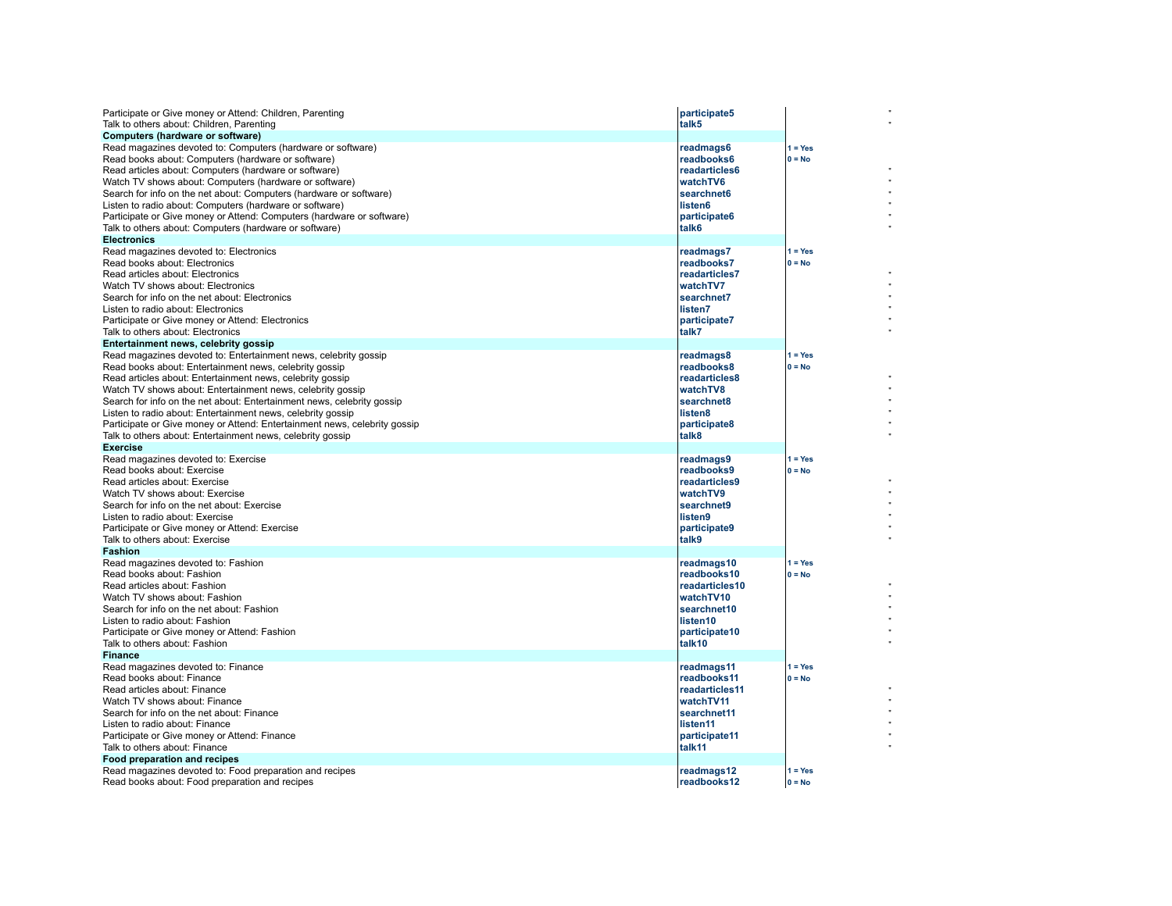| Participate or Give money or Attend: Children, Parenting<br>Talk to others about: Children, Parenting<br>Computers (hardware or software)                                                                                                                                                                                                                                                                                                                                                                                                                                        | participate5<br>talk5                                                                                          |                       |
|----------------------------------------------------------------------------------------------------------------------------------------------------------------------------------------------------------------------------------------------------------------------------------------------------------------------------------------------------------------------------------------------------------------------------------------------------------------------------------------------------------------------------------------------------------------------------------|----------------------------------------------------------------------------------------------------------------|-----------------------|
| Read magazines devoted to: Computers (hardware or software)<br>Read books about: Computers (hardware or software)<br>Read articles about: Computers (hardware or software)<br>Watch TV shows about: Computers (hardware or software)<br>Search for info on the net about: Computers (hardware or software)<br>Listen to radio about: Computers (hardware or software)<br>Participate or Give money or Attend: Computers (hardware or software)<br>Talk to others about: Computers (hardware or software)<br><b>Electronics</b>                                                   | readmags6<br>readbooks6<br>readarticles6<br>watchTV6<br>searchnet6<br>listen6<br>participate6<br>talk6         | $1 = Yes$<br>$0 = No$ |
| Read magazines devoted to: Electronics<br>Read books about: Electronics<br>Read articles about: Electronics<br>Watch TV shows about: Electronics<br>Search for info on the net about: Electronics<br>Listen to radio about: Electronics<br>Participate or Give money or Attend: Electronics<br>Talk to others about: Electronics                                                                                                                                                                                                                                                 | readmags7<br>readbooks7<br>readarticles7<br>watchTV7<br>searchnet7<br>llisten7<br>participate7<br>talk7        | $1 = Yes$<br>$0 = No$ |
| Entertainment news, celebrity gossip<br>Read magazines devoted to: Entertainment news, celebrity gossip<br>Read books about: Entertainment news, celebrity gossip<br>Read articles about: Entertainment news, celebrity gossip<br>Watch TV shows about: Entertainment news, celebrity gossip<br>Search for info on the net about: Entertainment news, celebrity gossip<br>Listen to radio about: Entertainment news, celebrity gossip<br>Participate or Give money or Attend: Entertainment news, celebrity gossip<br>Talk to others about: Entertainment news, celebrity gossip | readmags8<br>readbooks8<br>readarticles8<br>watchTV8<br>searchnet8<br>listen8<br>participate8<br>talk8         | $1 = Yes$<br>$0 = No$ |
| <b>Exercise</b><br>Read magazines devoted to: Exercise<br>Read books about: Exercise<br>Read articles about: Exercise<br>Watch TV shows about: Exercise<br>Search for info on the net about: Exercise<br>Listen to radio about: Exercise<br>Participate or Give money or Attend: Exercise<br>Talk to others about: Exercise                                                                                                                                                                                                                                                      | readmags9<br>readbooks9<br>readarticles9<br>watchTV9<br>searchnet9<br>listen9<br>participate9<br>talk9         | $1 = Yes$<br>$0 = No$ |
| <b>Fashion</b><br>Read magazines devoted to: Fashion<br>Read books about: Fashion<br>Read articles about: Fashion<br>Watch TV shows about: Fashion<br>Search for info on the net about: Fashion<br>Listen to radio about: Fashion<br>Participate or Give money or Attend: Fashion<br>Talk to others about: Fashion<br><b>Finance</b>                                                                                                                                                                                                                                             | readmags10<br>readbooks10<br>readarticles10<br>watchTV10<br>searchnet10<br>listen10<br>participate10<br>talk10 | $1 = Yes$<br>$0 = No$ |
| Read magazines devoted to: Finance<br>Read books about: Finance<br>Read articles about: Finance<br>Watch TV shows about: Finance<br>Search for info on the net about: Finance<br>Listen to radio about: Finance<br>Participate or Give money or Attend: Finance<br>Talk to others about: Finance<br><b>Food preparation and recipes</b>                                                                                                                                                                                                                                          | readmags11<br>readbooks11<br>readarticles11<br>watchTV11<br>searchnet11<br>listen11<br>participate11<br>talk11 | $1 = Yes$<br>$0 = No$ |
| Read magazines devoted to: Food preparation and recipes<br>Read books about: Food preparation and recipes                                                                                                                                                                                                                                                                                                                                                                                                                                                                        | readmags12<br>readbooks12                                                                                      | $1 = Yes$<br>$0 = No$ |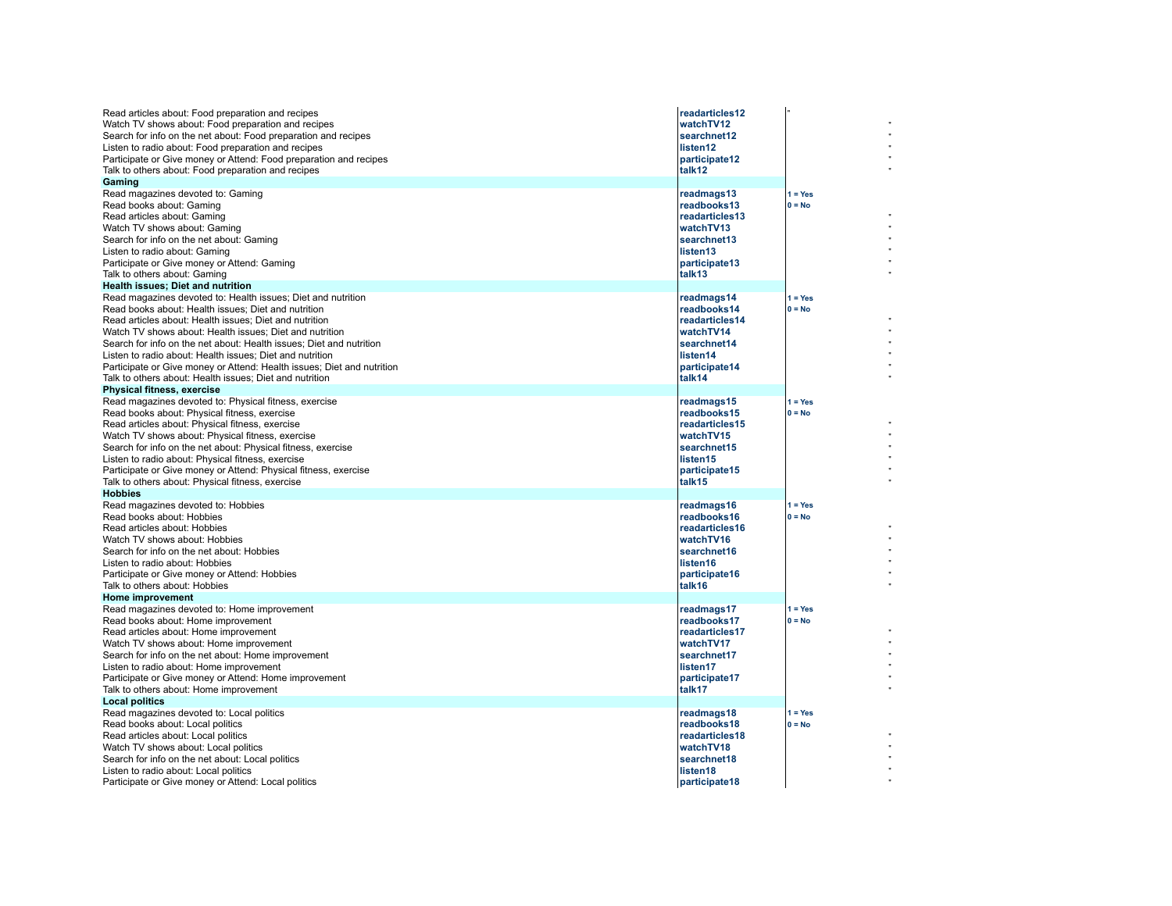| Read articles about: Food preparation and recipes<br>Watch TV shows about: Food preparation and recipes<br>Search for info on the net about: Food preparation and recipes<br>Listen to radio about: Food preparation and recipes<br>Participate or Give money or Attend: Food preparation and recipes<br>Talk to others about: Food preparation and recipes<br>Gaming                                                                                                                                                                                        | readarticles12<br>watchTV12<br>searchnet12<br>listen12<br>participate12<br>talk12                              |                       |
|--------------------------------------------------------------------------------------------------------------------------------------------------------------------------------------------------------------------------------------------------------------------------------------------------------------------------------------------------------------------------------------------------------------------------------------------------------------------------------------------------------------------------------------------------------------|----------------------------------------------------------------------------------------------------------------|-----------------------|
| Read magazines devoted to: Gaming<br>Read books about: Gaming<br>Read articles about: Gaming<br>Watch TV shows about: Gaming<br>Search for info on the net about: Gaming<br>Listen to radio about: Gaming<br>Participate or Give money or Attend: Gaming<br>Talk to others about: Gaming                                                                                                                                                                                                                                                                     | readmags13<br>readbooks13<br>readarticles13<br>watchTV13<br>searchnet13<br>listen13<br>participate13<br>talk13 | $1 = Yes$<br>$0 = No$ |
| <b>Health issues: Diet and nutrition</b><br>Read magazines devoted to: Health issues: Diet and nutrition<br>Read books about: Health issues; Diet and nutrition<br>Read articles about: Health issues: Diet and nutrition<br>Watch TV shows about: Health issues; Diet and nutrition<br>Search for info on the net about: Health issues; Diet and nutrition<br>Listen to radio about: Health issues; Diet and nutrition<br>Participate or Give money or Attend: Health issues; Diet and nutrition<br>Talk to others about: Health issues; Diet and nutrition | readmags14<br>readbooks14<br>readarticles14<br>watchTV14<br>searchnet14<br>listen14<br>participate14<br>talk14 | $1 = Yes$<br>$0 = No$ |
| Physical fitness, exercise<br>Read magazines devoted to: Physical fitness, exercise<br>Read books about: Physical fitness, exercise<br>Read articles about: Physical fitness, exercise<br>Watch TV shows about: Physical fitness, exercise<br>Search for info on the net about: Physical fitness, exercise<br>Listen to radio about: Physical fitness, exercise<br>Participate or Give money or Attend: Physical fitness, exercise<br>Talk to others about: Physical fitness, exercise                                                                       | readmags15<br>readbooks15<br>readarticles15<br>watchTV15<br>searchnet15<br>listen15<br>participate15<br>talk15 | $1 = Yes$<br>$0 = No$ |
| <b>Hobbies</b><br>Read magazines devoted to: Hobbies<br>Read books about: Hobbies<br>Read articles about: Hobbies<br>Watch TV shows about: Hobbies<br>Search for info on the net about: Hobbies<br>Listen to radio about: Hobbies<br>Participate or Give money or Attend: Hobbies<br>Talk to others about: Hobbies                                                                                                                                                                                                                                           | readmags16<br>readbooks16<br>readarticles16<br>watchTV16<br>searchnet16<br>listen16<br>participate16<br>talk16 | $1 = Yes$<br>$0 = No$ |
| Home improvement<br>Read magazines devoted to: Home improvement<br>Read books about: Home improvement<br>Read articles about: Home improvement<br>Watch TV shows about: Home improvement<br>Search for info on the net about: Home improvement<br>Listen to radio about: Home improvement<br>Participate or Give money or Attend: Home improvement<br>Talk to others about: Home improvement                                                                                                                                                                 | readmags17<br>readbooks17<br>readarticles17<br>watchTV17<br>searchnet17<br>listen17<br>participate17<br>talk17 | $1 = Yes$<br>$0 = No$ |
| <b>Local politics</b><br>Read magazines devoted to: Local politics<br>Read books about: Local politics<br>Read articles about: Local politics<br>Watch TV shows about: Local politics<br>Search for info on the net about: Local politics<br>Listen to radio about: Local politics<br>Participate or Give money or Attend: Local politics                                                                                                                                                                                                                    | readmags18<br>readbooks18<br>readarticles18<br>watchTV18<br>searchnet18<br>listen18<br>participate18           | $1 = Yes$<br>$0 = No$ |

" " " " "

" " " " " "

" " " " " "

" " " " " "

" " " " " "

" " " " " "

" " " " "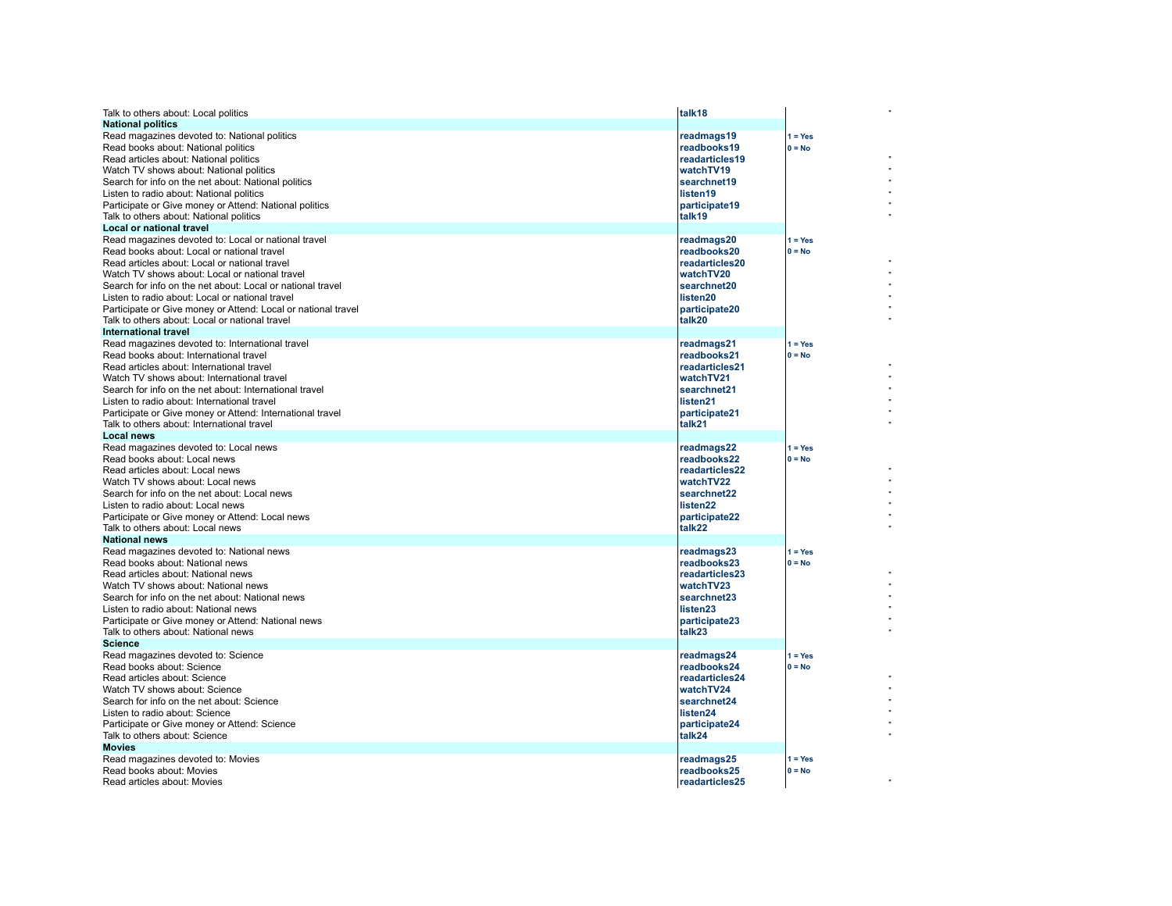| Talk to others about: Local politics                                          | talk <sub>18</sub>        |           |
|-------------------------------------------------------------------------------|---------------------------|-----------|
| <b>National politics</b>                                                      |                           |           |
| Read magazines devoted to: National politics                                  | readmags19                | $1 = Yes$ |
| Read books about: National politics                                           | readbooks19               | $0 = No$  |
| Read articles about: National politics                                        | readarticles19            |           |
| Watch TV shows about: National politics                                       | watchTV19                 |           |
| Search for info on the net about: National politics                           | searchnet19               |           |
| Listen to radio about: National politics                                      | listen19                  |           |
| Participate or Give money or Attend: National politics                        | participate19             |           |
| Talk to others about: National politics                                       | talk19                    |           |
| Local or national travel                                                      |                           |           |
| Read magazines devoted to: Local or national travel                           | readmags20                | $1 = Yes$ |
| Read books about: Local or national travel                                    | readbooks20               | $0 = No$  |
| Read articles about: Local or national travel                                 | readarticles20            |           |
| Watch TV shows about: Local or national travel                                | watchTV20                 |           |
| Search for info on the net about: Local or national travel                    | searchnet20               |           |
| Listen to radio about: Local or national travel                               | listen20                  |           |
| Participate or Give money or Attend: Local or national travel                 | participate20             |           |
| Talk to others about: Local or national travel                                | talk20                    |           |
| <b>International travel</b>                                                   |                           |           |
| Read magazines devoted to: International travel                               | readmags21                | $1 = Yes$ |
| Read books about: International travel                                        | readbooks21               | $0 = No$  |
| Read articles about: International travel                                     | readarticles21            |           |
| Watch TV shows about: International travel                                    | watchTV21                 |           |
| Search for info on the net about: International travel                        | searchnet21               |           |
| Listen to radio about: International travel                                   | listen <sub>21</sub>      |           |
| Participate or Give money or Attend: International travel                     | participate21             |           |
| Talk to others about: International travel                                    | talk21                    |           |
| <b>Local news</b>                                                             |                           |           |
| Read magazines devoted to: Local news                                         | readmags22                | $1 = Yes$ |
| Read books about: Local news                                                  | readbooks22               | $0 = No$  |
| Read articles about: Local news                                               | readarticles22            |           |
| Watch TV shows about: Local news                                              | watchTV22                 |           |
| Search for info on the net about: Local news                                  | searchnet22               |           |
| Listen to radio about: Local news                                             | listen22                  |           |
| Participate or Give money or Attend: Local news                               | participate22             |           |
| Talk to others about: Local news                                              | talk22                    |           |
| <b>National news</b>                                                          |                           |           |
| Read magazines devoted to: National news                                      | readmags23                | $1 = Yes$ |
| Read books about: National news                                               | readbooks23               | $0 = No$  |
| Read articles about: National news                                            | readarticles23            |           |
| Watch TV shows about: National news                                           | watchTV23                 |           |
| Search for info on the net about: National news                               | searchnet23               |           |
| Listen to radio about: National news                                          | listen23                  |           |
| Participate or Give money or Attend: National news                            | participate23             |           |
| Talk to others about: National news                                           | talk23                    |           |
| <b>Science</b>                                                                |                           |           |
| Read magazines devoted to: Science                                            | readmags24                | $1 = Yes$ |
| Read books about: Science                                                     | readbooks24               | $0 = No$  |
| Read articles about: Science                                                  | readarticles24            |           |
| Watch TV shows about: Science                                                 | watchTV24                 |           |
| Search for info on the net about: Science                                     | searchnet24               |           |
| Listen to radio about: Science                                                | listen24                  |           |
| Participate or Give money or Attend: Science<br>Talk to others about: Science | participate24<br>talk24   |           |
| <b>Movies</b>                                                                 |                           |           |
|                                                                               |                           | $1 = Yes$ |
| Read magazines devoted to: Movies<br>Read books about: Movies                 | readmags25<br>readbooks25 | $0 = No$  |
| Read articles about: Movies                                                   | readarticles25            |           |
|                                                                               |                           |           |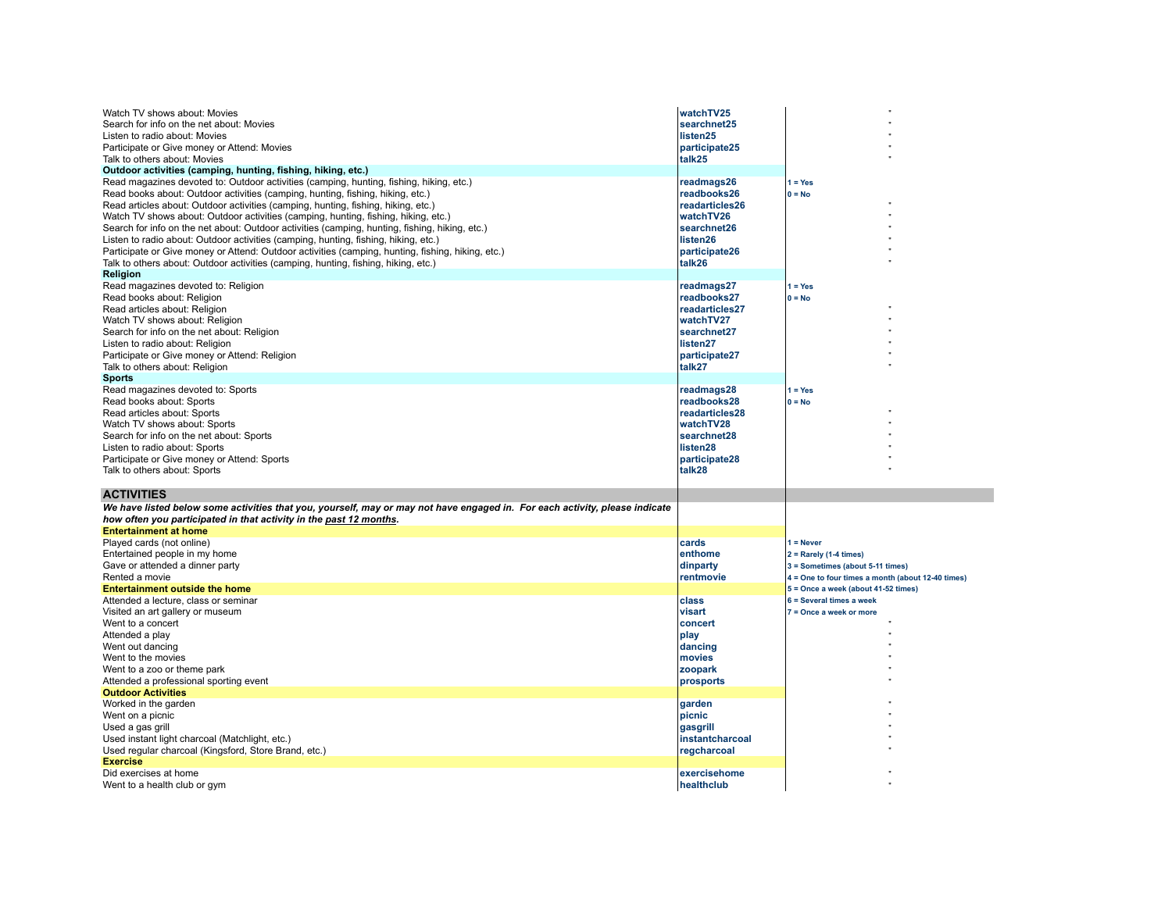| Watch TV shows about: Movies<br>Search for info on the net about: Movies<br>Listen to radio about: Movies<br>Participate or Give money or Attend: Movies<br>Talk to others about: Movies<br>Outdoor activities (camping, hunting, fishing, hiking, etc.)<br>Read magazines devoted to: Outdoor activities (camping, hunting, fishing, hiking, etc.)                                                                                                                                                                                                                                                                                                       | watchTV25<br>searchnet25<br>listen25<br>participate25<br>talk25<br>readmags26                                  | $1 = Yes$                                                                                |
|-----------------------------------------------------------------------------------------------------------------------------------------------------------------------------------------------------------------------------------------------------------------------------------------------------------------------------------------------------------------------------------------------------------------------------------------------------------------------------------------------------------------------------------------------------------------------------------------------------------------------------------------------------------|----------------------------------------------------------------------------------------------------------------|------------------------------------------------------------------------------------------|
| Read books about: Outdoor activities (camping, hunting, fishing, hiking, etc.)<br>Read articles about: Outdoor activities (camping, hunting, fishing, hiking, etc.)<br>Watch TV shows about: Outdoor activities (camping, hunting, fishing, hiking, etc.)<br>Search for info on the net about: Outdoor activities (camping, hunting, fishing, hiking, etc.)<br>Listen to radio about: Outdoor activities (camping, hunting, fishing, hiking, etc.)<br>Participate or Give money or Attend: Outdoor activities (camping, hunting, fishing, hiking, etc.)<br>Talk to others about: Outdoor activities (camping, hunting, fishing, hiking, etc.)<br>Religion | readbooks26<br>readarticles26<br>watchTV26<br>searchnet26<br>listen26<br>participate26<br>talk26               | $0 = No$                                                                                 |
| Read magazines devoted to: Religion<br>Read books about: Religion<br>Read articles about: Religion<br>Watch TV shows about: Religion<br>Search for info on the net about: Religion<br>Listen to radio about: Religion<br>Participate or Give money or Attend: Religion<br>Talk to others about: Religion                                                                                                                                                                                                                                                                                                                                                  | readmags27<br>readbooks27<br>readarticles27<br>watchTV27<br>searchnet27<br>listen27<br>participate27<br>talk27 | $1 = Yes$<br>$0 = No$                                                                    |
| <b>Sports</b><br>Read magazines devoted to: Sports<br>Read books about: Sports<br>Read articles about: Sports<br>Watch TV shows about: Sports<br>Search for info on the net about: Sports<br>Listen to radio about: Sports<br>Participate or Give money or Attend: Sports<br>Talk to others about: Sports                                                                                                                                                                                                                                                                                                                                                 | readmags28<br>readbooks28<br>readarticles28<br>watchTV28<br>searchnet28<br>listen28<br>participate28<br>talk28 | $1 = Yes$<br>$0 = No$                                                                    |
| <b>ACTIVITIES</b>                                                                                                                                                                                                                                                                                                                                                                                                                                                                                                                                                                                                                                         |                                                                                                                |                                                                                          |
| We have listed below some activities that you, yourself, may or may not have engaged in. For each activity, please indicate<br>how often you participated in that activity in the past 12 months.                                                                                                                                                                                                                                                                                                                                                                                                                                                         |                                                                                                                |                                                                                          |
|                                                                                                                                                                                                                                                                                                                                                                                                                                                                                                                                                                                                                                                           |                                                                                                                |                                                                                          |
|                                                                                                                                                                                                                                                                                                                                                                                                                                                                                                                                                                                                                                                           |                                                                                                                |                                                                                          |
| <b>Entertainment at home</b>                                                                                                                                                                                                                                                                                                                                                                                                                                                                                                                                                                                                                              |                                                                                                                |                                                                                          |
| Played cards (not online)                                                                                                                                                                                                                                                                                                                                                                                                                                                                                                                                                                                                                                 | cards<br>enthome                                                                                               | $1 =$ Never                                                                              |
| Entertained people in my home                                                                                                                                                                                                                                                                                                                                                                                                                                                                                                                                                                                                                             |                                                                                                                | $2 =$ Rarely (1-4 times)                                                                 |
| Gave or attended a dinner party<br>Rented a movie                                                                                                                                                                                                                                                                                                                                                                                                                                                                                                                                                                                                         | dinparty<br>rentmovie                                                                                          | 3 = Sometimes (about 5-11 times)                                                         |
| <b>Entertainment outside the home</b>                                                                                                                                                                                                                                                                                                                                                                                                                                                                                                                                                                                                                     |                                                                                                                | 4 = One to four times a month (about 12-40 times)<br>5 = Once a week (about 41-52 times) |
| Attended a lecture, class or seminar                                                                                                                                                                                                                                                                                                                                                                                                                                                                                                                                                                                                                      | class                                                                                                          | 6 = Several times a week                                                                 |
| Visited an art gallery or museum                                                                                                                                                                                                                                                                                                                                                                                                                                                                                                                                                                                                                          | visart                                                                                                         | 7 = Once a week or more                                                                  |
|                                                                                                                                                                                                                                                                                                                                                                                                                                                                                                                                                                                                                                                           | concert                                                                                                        |                                                                                          |
| Went to a concert<br>Attended a play                                                                                                                                                                                                                                                                                                                                                                                                                                                                                                                                                                                                                      | play                                                                                                           |                                                                                          |
| Went out dancing                                                                                                                                                                                                                                                                                                                                                                                                                                                                                                                                                                                                                                          | dancing                                                                                                        |                                                                                          |
| Went to the movies                                                                                                                                                                                                                                                                                                                                                                                                                                                                                                                                                                                                                                        | <b>Imovies</b>                                                                                                 |                                                                                          |
| Went to a zoo or theme park                                                                                                                                                                                                                                                                                                                                                                                                                                                                                                                                                                                                                               | zoopark                                                                                                        |                                                                                          |
| Attended a professional sporting event                                                                                                                                                                                                                                                                                                                                                                                                                                                                                                                                                                                                                    | prosports                                                                                                      |                                                                                          |
| <b>Outdoor Activities</b>                                                                                                                                                                                                                                                                                                                                                                                                                                                                                                                                                                                                                                 |                                                                                                                |                                                                                          |
| Worked in the garden                                                                                                                                                                                                                                                                                                                                                                                                                                                                                                                                                                                                                                      | garden                                                                                                         |                                                                                          |
|                                                                                                                                                                                                                                                                                                                                                                                                                                                                                                                                                                                                                                                           | picnic                                                                                                         |                                                                                          |
| Used a gas grill                                                                                                                                                                                                                                                                                                                                                                                                                                                                                                                                                                                                                                          | gasgrill                                                                                                       |                                                                                          |
| Went on a picnic<br>Used instant light charcoal (Matchlight, etc.)                                                                                                                                                                                                                                                                                                                                                                                                                                                                                                                                                                                        | instantcharcoal                                                                                                |                                                                                          |
| Used regular charcoal (Kingsford, Store Brand, etc.)                                                                                                                                                                                                                                                                                                                                                                                                                                                                                                                                                                                                      | regcharcoal                                                                                                    |                                                                                          |
| <b>Exercise</b><br>Did exercises at home                                                                                                                                                                                                                                                                                                                                                                                                                                                                                                                                                                                                                  | exercisehome                                                                                                   |                                                                                          |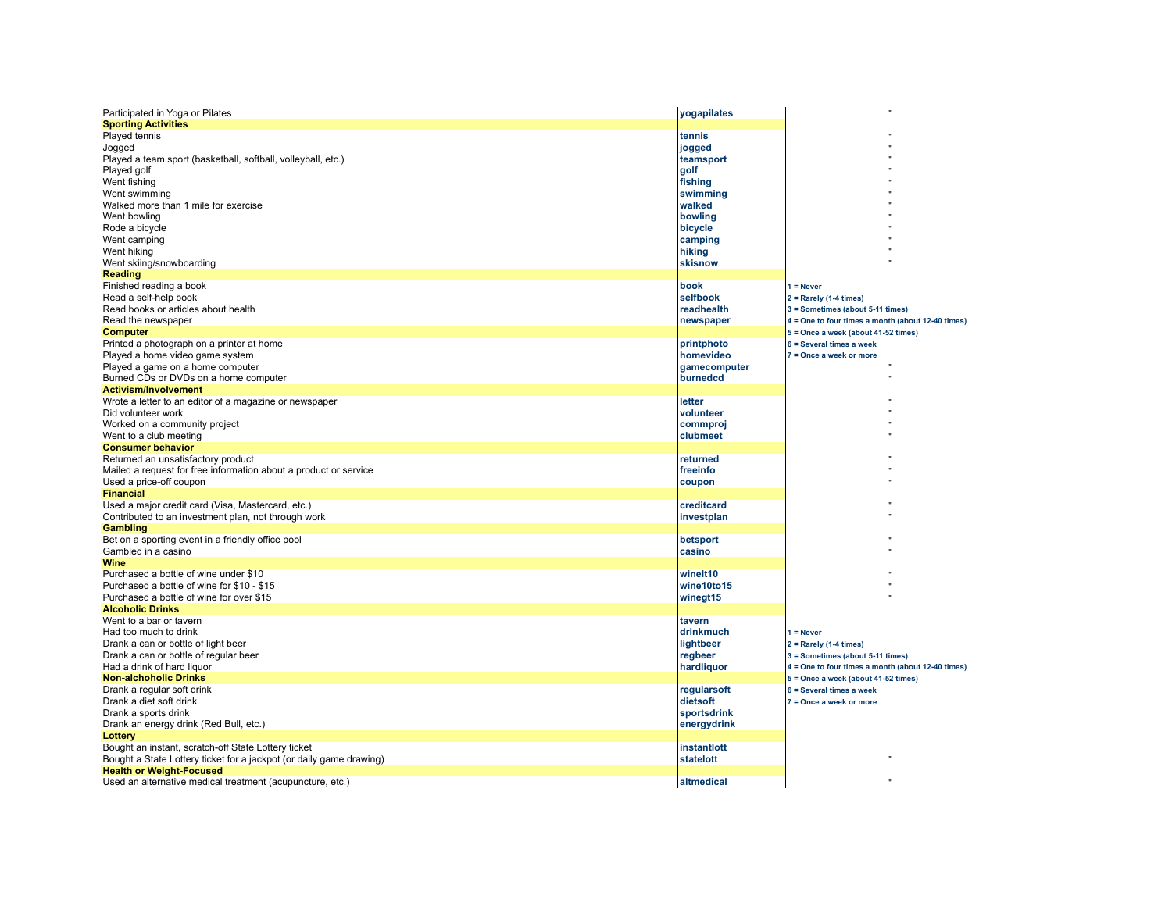| Participated in Yoga or Pilates                                     | yogapilates  |                                                   |
|---------------------------------------------------------------------|--------------|---------------------------------------------------|
| <b>Sporting Activities</b>                                          |              |                                                   |
| Played tennis                                                       | tennis       |                                                   |
| Jogged                                                              | jogged       |                                                   |
| Played a team sport (basketball, softball, volleyball, etc.)        | teamsport    |                                                   |
| Played golf                                                         | golf         |                                                   |
| Went fishing                                                        | fishing      |                                                   |
|                                                                     |              |                                                   |
| Went swimming                                                       | swimming     |                                                   |
| Walked more than 1 mile for exercise                                | walked       |                                                   |
| Went bowling                                                        | bowling      |                                                   |
| Rode a bicycle                                                      | bicycle      |                                                   |
| Went camping                                                        | camping      |                                                   |
| Went hiking                                                         | hiking       |                                                   |
| Went skiing/snowboarding                                            | skisnow      |                                                   |
| Reading                                                             |              |                                                   |
| Finished reading a book                                             | book         | $1 =$ Never                                       |
| Read a self-help book                                               | selfbook     | $2 =$ Rarely (1-4 times)                          |
| Read books or articles about health                                 | readhealth   | 3 = Sometimes (about 5-11 times)                  |
|                                                                     |              |                                                   |
| Read the newspaper                                                  | newspaper    | 4 = One to four times a month (about 12-40 times) |
| <b>Computer</b>                                                     |              | 5 = Once a week (about 41-52 times)               |
| Printed a photograph on a printer at home                           | printphoto   | 6 = Several times a week                          |
| Played a home video game system                                     | homevideo    | 7 = Once a week or more                           |
| Played a game on a home computer                                    | gamecomputer |                                                   |
| Burned CDs or DVDs on a home computer                               | burnedcd     |                                                   |
| <b>Activism/Involvement</b>                                         |              |                                                   |
| Wrote a letter to an editor of a magazine or newspaper              | letter       |                                                   |
| Did volunteer work                                                  | volunteer    |                                                   |
| Worked on a community project                                       | commproj     |                                                   |
| Went to a club meeting                                              | clubmeet     |                                                   |
| <b>Consumer behavior</b>                                            |              |                                                   |
|                                                                     |              |                                                   |
| Returned an unsatisfactory product                                  | returned     |                                                   |
| Mailed a request for free information about a product or service    | freeinfo     |                                                   |
| Used a price-off coupon                                             | coupon       |                                                   |
| <b>Financial</b>                                                    |              |                                                   |
| Used a major credit card (Visa, Mastercard, etc.)                   | creditcard   |                                                   |
| Contributed to an investment plan, not through work                 | investplan   |                                                   |
| <b>Gambling</b>                                                     |              |                                                   |
| Bet on a sporting event in a friendly office pool                   | betsport     |                                                   |
| Gambled in a casino                                                 | casino       |                                                   |
| Wine                                                                |              |                                                   |
| Purchased a bottle of wine under \$10                               | winelt10     |                                                   |
| Purchased a bottle of wine for \$10 - \$15                          | wine10to15   |                                                   |
| Purchased a bottle of wine for over \$15                            | winegt15     |                                                   |
| <b>Alcoholic Drinks</b>                                             |              |                                                   |
| Went to a bar or tavern                                             |              |                                                   |
|                                                                     | tavern       |                                                   |
| Had too much to drink                                               | drinkmuch    | $1 =$ Never                                       |
| Drank a can or bottle of light beer                                 | lightbeer    | $2 =$ Rarely (1-4 times)                          |
| Drank a can or bottle of regular beer                               | regbeer      | 3 = Sometimes (about 5-11 times)                  |
| Had a drink of hard liguor                                          | hardliquor   | 4 = One to four times a month (about 12-40 times) |
| <b>Non-alchoholic Drinks</b>                                        |              | 5 = Once a week (about 41-52 times)               |
| Drank a regular soft drink                                          | regularsoft  | 6 = Several times a week                          |
| Drank a diet soft drink                                             | dietsoft     | 7 = Once a week or more                           |
| Drank a sports drink                                                | sportsdrink  |                                                   |
| Drank an energy drink (Red Bull, etc.)                              | energydrink  |                                                   |
| Lottery                                                             |              |                                                   |
| Bought an instant, scratch-off State Lottery ticket                 | instantlott  |                                                   |
| Bought a State Lottery ticket for a jackpot (or daily game drawing) | statelott    |                                                   |
|                                                                     |              |                                                   |
| <b>Health or Weight-Focused</b>                                     |              |                                                   |
| Used an alternative medical treatment (acupuncture, etc.)           | laltmedical  |                                                   |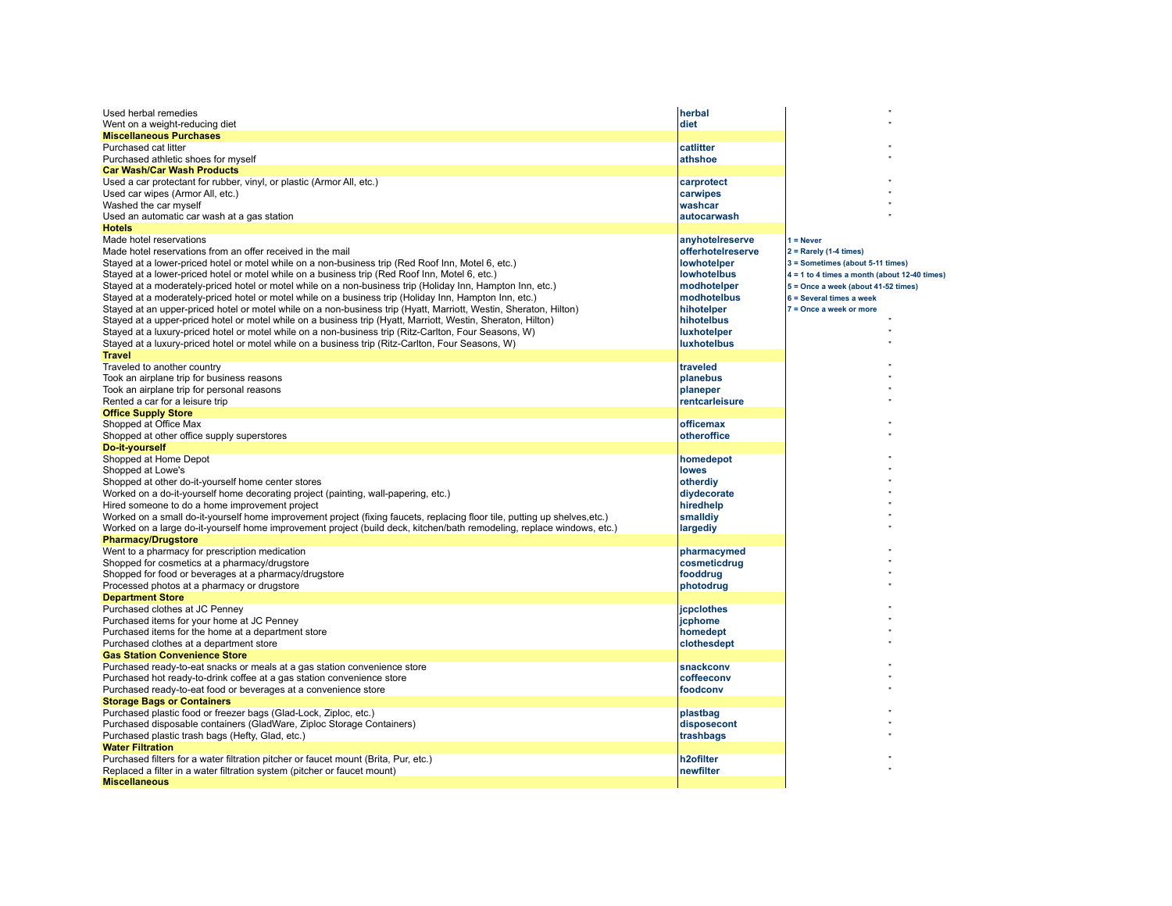| Used herbal remedies                                                                                                      | herbal                 |                                                |
|---------------------------------------------------------------------------------------------------------------------------|------------------------|------------------------------------------------|
| Went on a weight-reducing diet                                                                                            | diet                   |                                                |
| <b>Miscellaneous Purchases</b>                                                                                            |                        |                                                |
| Purchased cat litter                                                                                                      | catlitter              |                                                |
| Purchased athletic shoes for myself                                                                                       | athshoe                |                                                |
| <b>Car Wash/Car Wash Products</b>                                                                                         |                        |                                                |
| Used a car protectant for rubber, vinyl, or plastic (Armor All, etc.)                                                     | carprotect             |                                                |
| Used car wipes (Armor All, etc.)                                                                                          | carwipes               |                                                |
| Washed the car myself                                                                                                     | washcar                |                                                |
| Used an automatic car wash at a gas station                                                                               | autocarwash            |                                                |
| <b>Hotels</b>                                                                                                             |                        |                                                |
| Made hotel reservations                                                                                                   | anyhotelreserve        | $1 =$ Never                                    |
| Made hotel reservations from an offer received in the mail                                                                | offerhotelreserve      | $2 =$ Rarely (1-4 times)                       |
| Stayed at a lower-priced hotel or motel while on a non-business trip (Red Roof Inn, Motel 6, etc.)                        | <b>lowhotelper</b>     | 3 = Sometimes (about 5-11 times)               |
| Stayed at a lower-priced hotel or motel while on a business trip (Red Roof Inn, Motel 6, etc.)                            | <b>lowhotelbus</b>     | $4 = 1$ to 4 times a month (about 12-40 times) |
| Stayed at a moderately-priced hotel or motel while on a non-business trip (Holiday Inn, Hampton Inn, etc.)                | modhotelper            | 5 = Once a week (about 41-52 times)            |
| Stayed at a moderately-priced hotel or motel while on a business trip (Holiday Inn, Hampton Inn, etc.)                    | modhotelbus            | 6 = Several times a week                       |
| Stayed at an upper-priced hotel or motel while on a non-business trip (Hyatt, Marriott, Westin, Sheraton, Hilton)         | hihotelper             | 7 = Once a week or more                        |
| Stayed at a upper-priced hotel or motel while on a business trip (Hyatt, Marriott, Westin, Sheraton, Hilton)              | hihotelbus             |                                                |
| Stayed at a luxury-priced hotel or motel while on a non-business trip (Ritz-Carlton, Four Seasons, W)                     | luxhotelper            |                                                |
| Stayed at a luxury-priced hotel or motel while on a business trip (Ritz-Carlton, Four Seasons, W)                         | luxhotelbus            |                                                |
| <b>Travel</b>                                                                                                             |                        |                                                |
| Traveled to another country                                                                                               | traveled               |                                                |
|                                                                                                                           |                        |                                                |
| Took an airplane trip for business reasons                                                                                | planebus               |                                                |
| Took an airplane trip for personal reasons                                                                                | planeper               |                                                |
| Rented a car for a leisure trip                                                                                           | rentcarleisure         |                                                |
| <b>Office Supply Store</b>                                                                                                |                        |                                                |
| Shopped at Office Max                                                                                                     | officemax              |                                                |
| Shopped at other office supply superstores                                                                                | otheroffice            |                                                |
| Do-it-yourself                                                                                                            |                        |                                                |
| Shopped at Home Depot                                                                                                     | homedepot              |                                                |
| Shopped at Lowe's                                                                                                         | <b>lowes</b>           |                                                |
| Shopped at other do-it-yourself home center stores                                                                        | otherdiy               |                                                |
| Worked on a do-it-yourself home decorating project (painting, wall-papering, etc.)                                        | diydecorate            |                                                |
| Hired someone to do a home improvement project                                                                            | hiredhelp              |                                                |
| Worked on a small do-it-yourself home improvement project (fixing faucets, replacing floor tile, putting up shelves,etc.) | smalldiy               |                                                |
| Worked on a large do-it-yourself home improvement project (build deck, kitchen/bath remodeling, replace windows, etc.)    | largediy               |                                                |
| <b>Pharmacy/Drugstore</b>                                                                                                 |                        |                                                |
| Went to a pharmacy for prescription medication                                                                            | pharmacymed            |                                                |
| Shopped for cosmetics at a pharmacy/drugstore                                                                             | cosmeticdrug           |                                                |
| Shopped for food or beverages at a pharmacy/drugstore                                                                     | fooddrug               |                                                |
| Processed photos at a pharmacy or drugstore                                                                               | photodrug              |                                                |
| <b>Department Store</b>                                                                                                   |                        |                                                |
| Purchased clothes at JC Penney                                                                                            | jcpclothes             |                                                |
| Purchased items for your home at JC Penney                                                                                | jcphome                |                                                |
| Purchased items for the home at a department store                                                                        | homedept               |                                                |
| Purchased clothes at a department store                                                                                   | clothesdept            |                                                |
| <b>Gas Station Convenience Store</b>                                                                                      |                        |                                                |
| Purchased ready-to-eat snacks or meals at a gas station convenience store                                                 | snackconv              |                                                |
| Purchased hot ready-to-drink coffee at a gas station convenience store                                                    | coffeeconv             |                                                |
|                                                                                                                           |                        |                                                |
| Purchased ready-to-eat food or beverages at a convenience store                                                           | foodconv               |                                                |
| <b>Storage Bags or Containers</b>                                                                                         |                        |                                                |
| Purchased plastic food or freezer bags (Glad-Lock, Ziploc, etc.)                                                          | plastbag               |                                                |
| Purchased disposable containers (GladWare, Ziploc Storage Containers)                                                     | disposecont            |                                                |
| Purchased plastic trash bags (Hefty, Glad, etc.)                                                                          | trashbags              |                                                |
| <b>Water Filtration</b>                                                                                                   |                        |                                                |
| Purchased filters for a water filtration pitcher or faucet mount (Brita, Pur, etc.)                                       | h <sub>2</sub> ofilter |                                                |
| Replaced a filter in a water filtration system (pitcher or faucet mount)                                                  | newfilter              |                                                |
| <b>Miscellaneous</b>                                                                                                      |                        |                                                |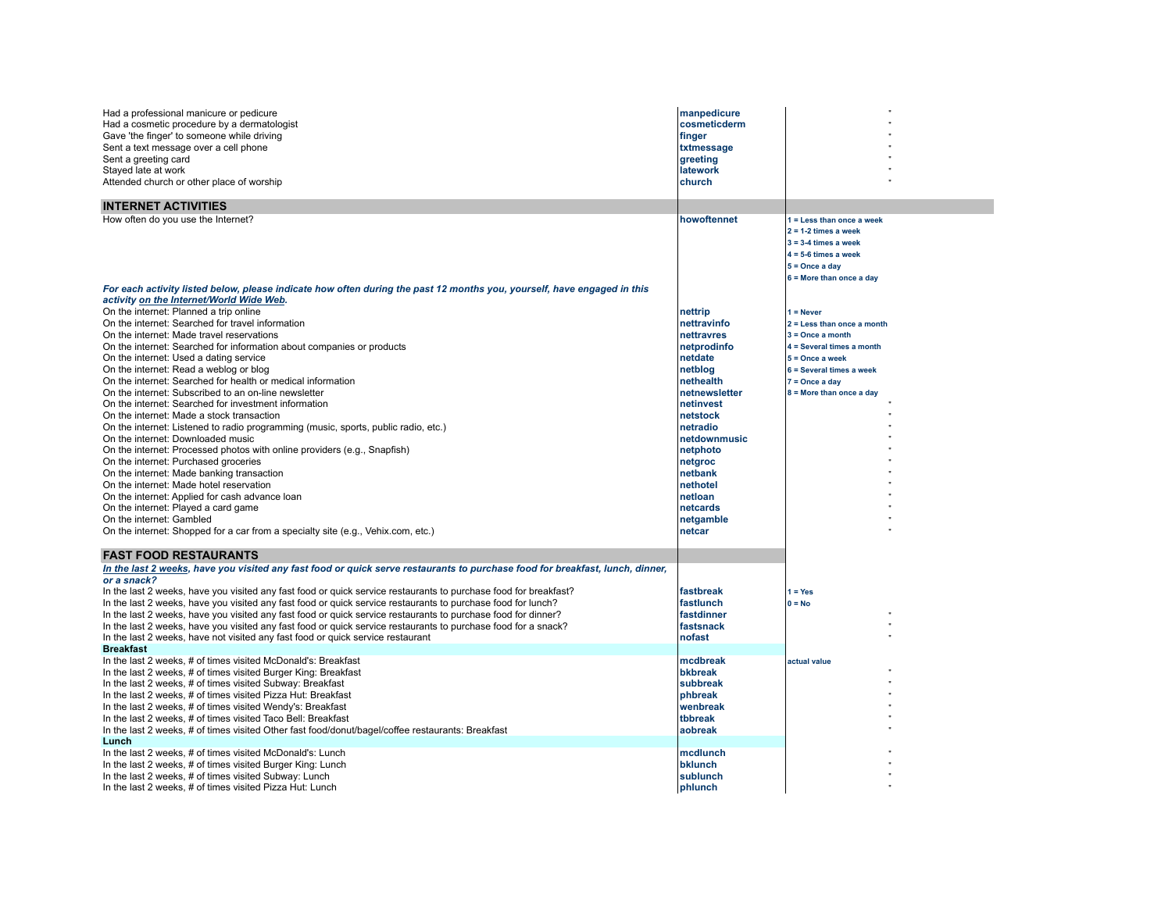| Had a professional manicure or pedicure<br>Had a cosmetic procedure by a dermatologist<br>Gave 'the finger' to someone while driving<br>Sent a text message over a cell phone<br>Sent a greeting card<br>Stayed late at work<br>Attended church or other place of worship | manpedicure<br>cosmeticderm<br>finger<br>txtmessage<br>greeting<br>latework<br>church |                                                                                                                                                           |  |
|---------------------------------------------------------------------------------------------------------------------------------------------------------------------------------------------------------------------------------------------------------------------------|---------------------------------------------------------------------------------------|-----------------------------------------------------------------------------------------------------------------------------------------------------------|--|
| <b>INTERNET ACTIVITIES</b>                                                                                                                                                                                                                                                |                                                                                       |                                                                                                                                                           |  |
| How often do you use the Internet?<br>For each activity listed below, please indicate how often during the past 12 months you, yourself, have engaged in this                                                                                                             | howoftennet                                                                           | 1 = Less than once a week<br>$2 = 1-2$ times a week<br>$3 = 3-4$ times a week<br>$4 = 5-6$ times a week<br>$5 =$ Once a day<br>$6$ = More than once a day |  |
| activity on the Internet/World Wide Web.                                                                                                                                                                                                                                  |                                                                                       |                                                                                                                                                           |  |
| On the internet: Planned a trip online<br>On the internet: Searched for travel information<br>On the internet: Made travel reservations                                                                                                                                   | nettrip<br>nettravinfo<br>nettravres                                                  | $1 =$ Never<br>$2 =$ Less than once a month<br>$3 =$ Once a month                                                                                         |  |
| On the internet: Searched for information about companies or products                                                                                                                                                                                                     | netprodinfo                                                                           | 4 = Several times a month                                                                                                                                 |  |
| On the internet: Used a dating service                                                                                                                                                                                                                                    | netdate                                                                               | $5 =$ Once a week                                                                                                                                         |  |
| On the internet: Read a weblog or blog                                                                                                                                                                                                                                    | netblog                                                                               | 6 = Several times a week                                                                                                                                  |  |
| On the internet: Searched for health or medical information                                                                                                                                                                                                               | nethealth                                                                             | $7 =$ Once a day                                                                                                                                          |  |
| On the internet: Subscribed to an on-line newsletter<br>On the internet: Searched for investment information                                                                                                                                                              | netnewsletter<br>netinvest                                                            | $8 =$ More than once a day                                                                                                                                |  |
| On the internet: Made a stock transaction                                                                                                                                                                                                                                 | netstock                                                                              |                                                                                                                                                           |  |
| On the internet: Listened to radio programming (music, sports, public radio, etc.)                                                                                                                                                                                        | netradio                                                                              |                                                                                                                                                           |  |
| On the internet: Downloaded music                                                                                                                                                                                                                                         | netdownmusic                                                                          |                                                                                                                                                           |  |
| On the internet: Processed photos with online providers (e.g., Snapfish)                                                                                                                                                                                                  | netphoto                                                                              |                                                                                                                                                           |  |
| On the internet: Purchased groceries                                                                                                                                                                                                                                      | netgroc                                                                               |                                                                                                                                                           |  |
| On the internet: Made banking transaction                                                                                                                                                                                                                                 | netbank                                                                               |                                                                                                                                                           |  |
| On the internet: Made hotel reservation                                                                                                                                                                                                                                   | nethotel                                                                              |                                                                                                                                                           |  |
| On the internet: Applied for cash advance loan                                                                                                                                                                                                                            | netloan                                                                               |                                                                                                                                                           |  |
| On the internet: Played a card game                                                                                                                                                                                                                                       | netcards                                                                              |                                                                                                                                                           |  |
| On the internet: Gambled                                                                                                                                                                                                                                                  | netgamble                                                                             |                                                                                                                                                           |  |
| On the internet: Shopped for a car from a specialty site (e.g., Vehix.com, etc.)                                                                                                                                                                                          | netcar                                                                                |                                                                                                                                                           |  |
| <b>FAST FOOD RESTAURANTS</b>                                                                                                                                                                                                                                              |                                                                                       |                                                                                                                                                           |  |
| In the last 2 weeks, have you visited any fast food or quick serve restaurants to purchase food for breakfast, lunch, dinner,                                                                                                                                             |                                                                                       |                                                                                                                                                           |  |
| or a snack?                                                                                                                                                                                                                                                               |                                                                                       |                                                                                                                                                           |  |
| In the last 2 weeks, have you visited any fast food or quick service restaurants to purchase food for breakfast?                                                                                                                                                          | fastbreak                                                                             | $1 = Yes$                                                                                                                                                 |  |
| In the last 2 weeks, have you visited any fast food or quick service restaurants to purchase food for lunch?                                                                                                                                                              | fastlunch                                                                             | $0 = No$                                                                                                                                                  |  |
| In the last 2 weeks, have you visited any fast food or quick service restaurants to purchase food for dinner?                                                                                                                                                             | fastdinner                                                                            |                                                                                                                                                           |  |
| In the last 2 weeks, have you visited any fast food or quick service restaurants to purchase food for a snack?                                                                                                                                                            | fastsnack<br>nofast                                                                   |                                                                                                                                                           |  |
| In the last 2 weeks, have not visited any fast food or quick service restaurant<br><b>Breakfast</b>                                                                                                                                                                       |                                                                                       |                                                                                                                                                           |  |
| In the last 2 weeks, # of times visited McDonald's: Breakfast                                                                                                                                                                                                             | mcdbreak                                                                              | actual value                                                                                                                                              |  |
| In the last 2 weeks, # of times visited Burger King: Breakfast                                                                                                                                                                                                            | <b>bkbreak</b>                                                                        |                                                                                                                                                           |  |
| In the last 2 weeks, # of times visited Subway: Breakfast                                                                                                                                                                                                                 | subbreak                                                                              |                                                                                                                                                           |  |
| In the last 2 weeks, # of times visited Pizza Hut: Breakfast                                                                                                                                                                                                              | phbreak                                                                               |                                                                                                                                                           |  |
| In the last 2 weeks, # of times visited Wendy's: Breakfast                                                                                                                                                                                                                | wenbreak                                                                              |                                                                                                                                                           |  |
| In the last 2 weeks, # of times visited Taco Bell: Breakfast                                                                                                                                                                                                              | tbbreak                                                                               |                                                                                                                                                           |  |
| In the last 2 weeks, # of times visited Other fast food/donut/bagel/coffee restaurants: Breakfast                                                                                                                                                                         | aobreak                                                                               |                                                                                                                                                           |  |
| Lunch                                                                                                                                                                                                                                                                     |                                                                                       |                                                                                                                                                           |  |
| In the last 2 weeks, # of times visited McDonald's: Lunch                                                                                                                                                                                                                 | mcdlunch                                                                              |                                                                                                                                                           |  |
| In the last 2 weeks, # of times visited Burger King: Lunch                                                                                                                                                                                                                | bklunch                                                                               |                                                                                                                                                           |  |
| In the last 2 weeks, # of times visited Subway: Lunch<br>In the last 2 weeks, # of times visited Pizza Hut: Lunch                                                                                                                                                         | sublunch<br>phlunch                                                                   |                                                                                                                                                           |  |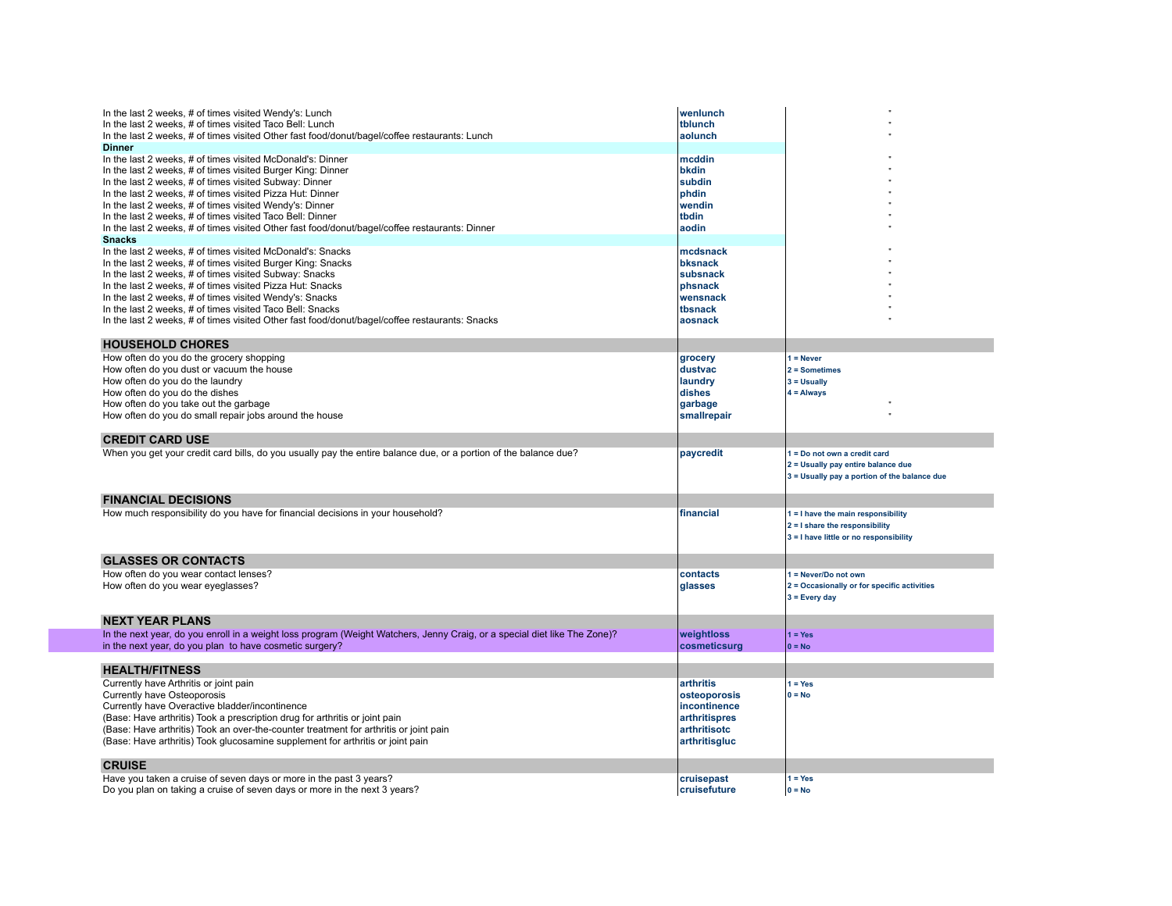| In the last 2 weeks, # of times visited Wendy's: Lunch<br>In the last 2 weeks, # of times visited Taco Bell: Lunch<br>In the last 2 weeks, # of times visited Other fast food/donut/bagel/coffee restaurants: Lunch<br><b>Dinner</b>                                                                                                                                                                                                                                                        | wenlunch<br>tblunch<br>aolunch                                                                     |                                                                                                                    |
|---------------------------------------------------------------------------------------------------------------------------------------------------------------------------------------------------------------------------------------------------------------------------------------------------------------------------------------------------------------------------------------------------------------------------------------------------------------------------------------------|----------------------------------------------------------------------------------------------------|--------------------------------------------------------------------------------------------------------------------|
| In the last 2 weeks, # of times visited McDonald's: Dinner<br>In the last 2 weeks, # of times visited Burger King: Dinner<br>In the last 2 weeks, # of times visited Subway: Dinner<br>In the last 2 weeks, # of times visited Pizza Hut: Dinner<br>In the last 2 weeks, # of times visited Wendy's: Dinner<br>In the last 2 weeks, # of times visited Taco Bell: Dinner<br>In the last 2 weeks, # of times visited Other fast food/donut/bagel/coffee restaurants: Dinner<br><b>Snacks</b> | mcddin<br>bkdin<br>subdin<br>phdin<br>wendin<br>tbdin<br>aodin                                     |                                                                                                                    |
| In the last 2 weeks, # of times visited McDonald's: Snacks<br>In the last 2 weeks, # of times visited Burger King: Snacks<br>In the last 2 weeks, # of times visited Subway: Snacks<br>In the last 2 weeks, # of times visited Pizza Hut: Snacks<br>In the last 2 weeks, # of times visited Wendy's: Snacks<br>In the last 2 weeks, # of times visited Taco Bell: Snacks<br>In the last 2 weeks, # of times visited Other fast food/donut/bagel/coffee restaurants: Snacks                  | mcdsnack<br>bksnack<br>subsnack<br>phsnack<br>wensnack<br>tbsnack<br>aosnack                       |                                                                                                                    |
| <b>HOUSEHOLD CHORES</b>                                                                                                                                                                                                                                                                                                                                                                                                                                                                     |                                                                                                    |                                                                                                                    |
| How often do you do the grocery shopping<br>How often do you dust or vacuum the house<br>How often do you do the laundry<br>How often do you do the dishes<br>How often do you take out the garbage<br>How often do you do small repair jobs around the house                                                                                                                                                                                                                               | grocery<br>dustvac<br>laundry<br>dishes<br>garbage<br>smallrepair                                  | $1 =$ Never<br>$2 =$ Sometimes<br>$3 =$ Usually<br>$4 =$ Always                                                    |
| <b>CREDIT CARD USE</b>                                                                                                                                                                                                                                                                                                                                                                                                                                                                      |                                                                                                    |                                                                                                                    |
| When you get your credit card bills, do you usually pay the entire balance due, or a portion of the balance due?                                                                                                                                                                                                                                                                                                                                                                            | paycredit                                                                                          | 1 = Do not own a credit card<br>2 = Usually pay entire balance due<br>3 = Usually pay a portion of the balance due |
| <b>FINANCIAL DECISIONS</b>                                                                                                                                                                                                                                                                                                                                                                                                                                                                  |                                                                                                    |                                                                                                                    |
| How much responsibility do you have for financial decisions in your household?                                                                                                                                                                                                                                                                                                                                                                                                              | financial                                                                                          | 1 = I have the main responsibility<br>2 = I share the responsibility<br>3 = I have little or no responsibility     |
| <b>GLASSES OR CONTACTS</b>                                                                                                                                                                                                                                                                                                                                                                                                                                                                  |                                                                                                    |                                                                                                                    |
| How often do you wear contact lenses?<br>How often do you wear eyeglasses?                                                                                                                                                                                                                                                                                                                                                                                                                  | contacts<br>glasses                                                                                | 1 = Never/Do not own<br>2 = Occasionally or for specific activities<br>$3$ = Every day                             |
| <b>NEXT YEAR PLANS</b>                                                                                                                                                                                                                                                                                                                                                                                                                                                                      |                                                                                                    |                                                                                                                    |
| In the next year, do you enroll in a weight loss program (Weight Watchers, Jenny Craig, or a special diet like The Zone)?<br>in the next year, do you plan to have cosmetic surgery?                                                                                                                                                                                                                                                                                                        | weightloss<br>cosmeticsurg                                                                         | $1 = Yes$<br>$0 = No$                                                                                              |
| <b>HEALTH/FITNESS</b>                                                                                                                                                                                                                                                                                                                                                                                                                                                                       |                                                                                                    |                                                                                                                    |
| Currently have Arthritis or joint pain<br>Currently have Osteoporosis<br>Currently have Overactive bladder/incontinence<br>(Base: Have arthritis) Took a prescription drug for arthritis or joint pain<br>(Base: Have arthritis) Took an over-the-counter treatment for arthritis or joint pain<br>(Base: Have arthritis) Took glucosamine supplement for arthritis or joint pain                                                                                                           | arthritis<br>osteoporosis<br>incontinence<br><i>arthritispres</i><br>arthritisotc<br>arthritisgluc | $1 = Yes$<br>$0 = No$                                                                                              |
| <b>CRUISE</b>                                                                                                                                                                                                                                                                                                                                                                                                                                                                               |                                                                                                    |                                                                                                                    |
| Have you taken a cruise of seven days or more in the past 3 years?<br>Do you plan on taking a cruise of seven days or more in the next 3 years?                                                                                                                                                                                                                                                                                                                                             | cruisepast<br>cruisefuture                                                                         | $1 = Yes$<br>$0 = No$                                                                                              |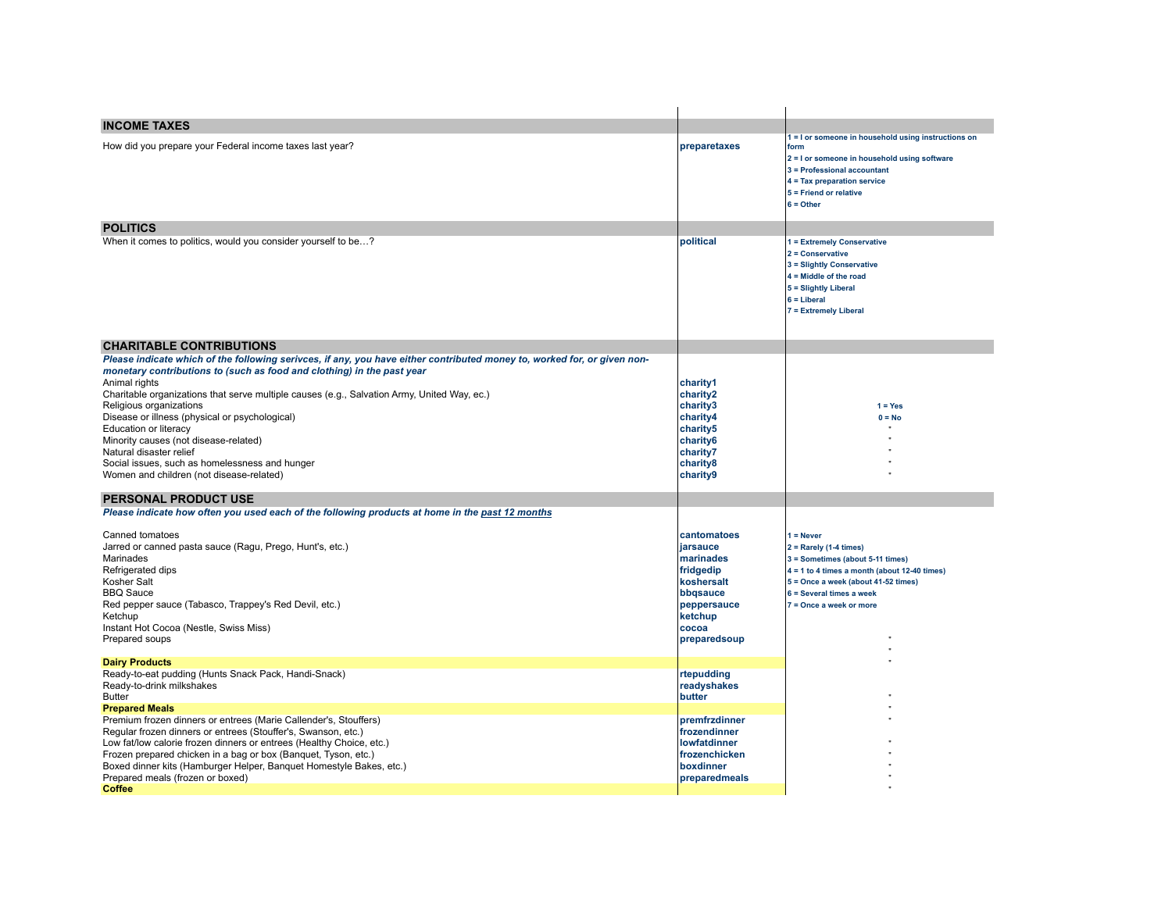| <b>INCOME TAXES</b>                                                                                                                                                                                                                                                                                                                                                                                                                                                                                                                                                                        |                                                                                                                                |                                                                                                                                                                                                                             |
|--------------------------------------------------------------------------------------------------------------------------------------------------------------------------------------------------------------------------------------------------------------------------------------------------------------------------------------------------------------------------------------------------------------------------------------------------------------------------------------------------------------------------------------------------------------------------------------------|--------------------------------------------------------------------------------------------------------------------------------|-----------------------------------------------------------------------------------------------------------------------------------------------------------------------------------------------------------------------------|
| How did you prepare your Federal income taxes last year?                                                                                                                                                                                                                                                                                                                                                                                                                                                                                                                                   | preparetaxes                                                                                                                   | I = I or someone in household using instructions on<br>form<br>2 = I or someone in household using software<br>3 = Professional accountant<br>4 = Tax preparation service<br>5 = Friend or relative<br>$6 =$ Other          |
| <b>POLITICS</b>                                                                                                                                                                                                                                                                                                                                                                                                                                                                                                                                                                            |                                                                                                                                |                                                                                                                                                                                                                             |
| When it comes to politics, would you consider yourself to be?                                                                                                                                                                                                                                                                                                                                                                                                                                                                                                                              | political                                                                                                                      | 1 = Extremely Conservative<br>2 = Conservative<br>3 = Slightly Conservative<br>$4 =$ Middle of the road<br>5 = Slightly Liberal<br>$6 =$ Liberal<br><b>7 = Extremely Liberal</b>                                            |
| <b>CHARITABLE CONTRIBUTIONS</b>                                                                                                                                                                                                                                                                                                                                                                                                                                                                                                                                                            |                                                                                                                                |                                                                                                                                                                                                                             |
| Please indicate which of the following serivces, if any, you have either contributed money to, worked for, or given non-<br>monetary contributions to (such as food and clothing) in the past year<br>Animal rights<br>Charitable organizations that serve multiple causes (e.g., Salvation Army, United Way, ec.)<br>Religious organizations<br>Disease or illness (physical or psychological)<br>Education or literacy<br>Minority causes (not disease-related)<br>Natural disaster relief<br>Social issues, such as homelessness and hunger<br>Women and children (not disease-related) | charity1<br>charity2<br>charity3<br>charitv4<br>charity5<br>charity6<br>charity7<br>charity8<br>charity9                       | $1 = Yes$<br>$0 = No$                                                                                                                                                                                                       |
| <b>PERSONAL PRODUCT USE</b>                                                                                                                                                                                                                                                                                                                                                                                                                                                                                                                                                                |                                                                                                                                |                                                                                                                                                                                                                             |
| Please indicate how often you used each of the following products at home in the past 12 months<br>Canned tomatoes<br>Jarred or canned pasta sauce (Ragu, Prego, Hunt's, etc.)<br>Marinades<br>Refrigerated dips<br>Kosher Salt<br><b>BBQ Sauce</b><br>Red pepper sauce (Tabasco, Trappey's Red Devil, etc.)<br>Ketchup<br>Instant Hot Cocoa (Nestle, Swiss Miss)<br>Prepared soups                                                                                                                                                                                                        | cantomatoes<br>iarsauce<br>marinades<br>fridgedip<br>koshersalt<br>bbqsauce<br>peppersauce<br>ketchup<br>cocoa<br>preparedsoup | $1 =$ Never<br>$2 =$ Rarely (1-4 times)<br>3 = Sometimes (about 5-11 times)<br>$4 = 1$ to 4 times a month (about 12-40 times)<br>5 = Once a week (about 41-52 times)<br>6 = Several times a week<br>7 = Once a week or more |
| <b>Dairy Products</b>                                                                                                                                                                                                                                                                                                                                                                                                                                                                                                                                                                      |                                                                                                                                |                                                                                                                                                                                                                             |
| Ready-to-eat pudding (Hunts Snack Pack, Handi-Snack)<br>Ready-to-drink milkshakes<br><b>Butter</b><br><b>Prepared Meals</b>                                                                                                                                                                                                                                                                                                                                                                                                                                                                | rtepudding<br>readyshakes<br>butter                                                                                            |                                                                                                                                                                                                                             |
| Premium frozen dinners or entrees (Marie Callender's, Stouffers)<br>Regular frozen dinners or entrees (Stouffer's, Swanson, etc.)<br>Low fat/low calorie frozen dinners or entrees (Healthy Choice, etc.)<br>Frozen prepared chicken in a bag or box (Banquet, Tyson, etc.)<br>Boxed dinner kits (Hamburger Helper, Banquet Homestyle Bakes, etc.)<br>Prepared meals (frozen or boxed)<br><b>Coffee</b>                                                                                                                                                                                    | premfrzdinner<br>frozendinner<br><b>lowfatdinner</b><br>frozenchicken<br>boxdinner<br>preparedmeals                            |                                                                                                                                                                                                                             |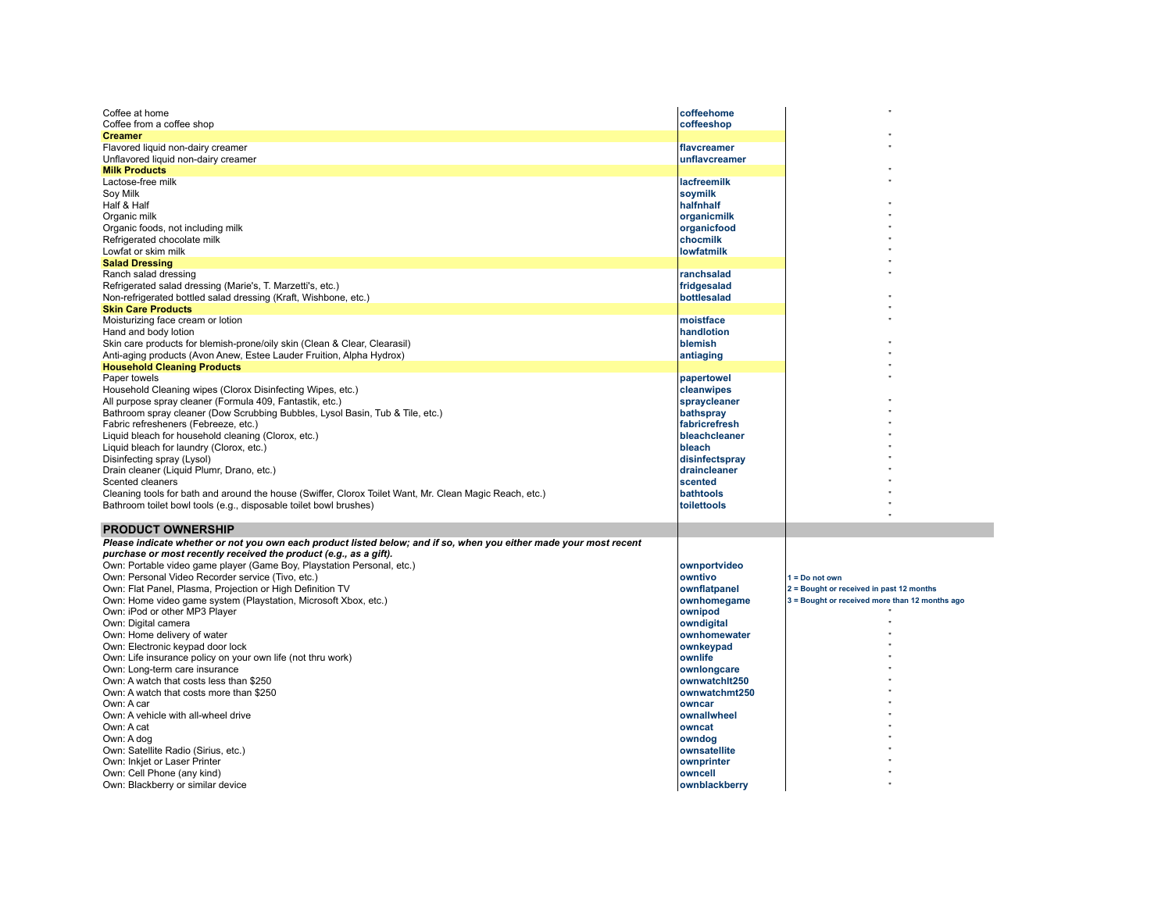| Coffee at home                                                                                                     | coffeehome        |                                                |
|--------------------------------------------------------------------------------------------------------------------|-------------------|------------------------------------------------|
| Coffee from a coffee shop                                                                                          | coffeeshop        |                                                |
| <b>Creamer</b>                                                                                                     |                   |                                                |
| Flavored liquid non-dairy creamer                                                                                  | flavcreamer       |                                                |
| Unflavored liquid non-dairy creamer                                                                                | unflavcreamer     |                                                |
| <b>Milk Products</b>                                                                                               |                   |                                                |
| Lactose-free milk                                                                                                  | lacfreemilk       |                                                |
| Soy Milk                                                                                                           | soymilk           |                                                |
| Half & Half                                                                                                        | halfnhalf         |                                                |
| Organic milk                                                                                                       | organicmilk       |                                                |
| Organic foods, not including milk                                                                                  | organicfood       |                                                |
| Refrigerated chocolate milk                                                                                        | chocmilk          |                                                |
| Lowfat or skim milk                                                                                                | <b>lowfatmilk</b> |                                                |
| <b>Salad Dressing</b>                                                                                              |                   |                                                |
| Ranch salad dressing                                                                                               | ranchsalad        |                                                |
| Refrigerated salad dressing (Marie's, T. Marzetti's, etc.)                                                         | fridgesalad       |                                                |
| Non-refrigerated bottled salad dressing (Kraft, Wishbone, etc.)                                                    | bottlesalad       |                                                |
| <b>Skin Care Products</b>                                                                                          |                   |                                                |
| Moisturizing face cream or lotion                                                                                  | moistface         |                                                |
| Hand and body lotion                                                                                               | handlotion        |                                                |
| Skin care products for blemish-prone/oily skin (Clean & Clear, Clearasil)                                          | blemish           |                                                |
| Anti-aging products (Avon Anew, Estee Lauder Fruition, Alpha Hydrox)                                               | antiaging         |                                                |
| <b>Household Cleaning Products</b>                                                                                 |                   |                                                |
| Paper towels                                                                                                       | papertowel        |                                                |
| Household Cleaning wipes (Clorox Disinfecting Wipes, etc.)                                                         | cleanwipes        |                                                |
| All purpose spray cleaner (Formula 409, Fantastik, etc.)                                                           | spraycleaner      |                                                |
| Bathroom spray cleaner (Dow Scrubbing Bubbles, Lysol Basin, Tub & Tile, etc.)                                      | bathspray         |                                                |
| Fabric refresheners (Febreeze, etc.)                                                                               | fabricrefresh     |                                                |
| Liquid bleach for household cleaning (Clorox, etc.)                                                                | bleachcleaner     |                                                |
| Liquid bleach for laundry (Clorox, etc.)                                                                           | bleach            |                                                |
| Disinfecting spray (Lysol)                                                                                         | disinfectspray    |                                                |
| Drain cleaner (Liquid Plumr, Drano, etc.)                                                                          | draincleaner      |                                                |
| Scented cleaners                                                                                                   | scented           |                                                |
|                                                                                                                    | bathtools         |                                                |
| Cleaning tools for bath and around the house (Swiffer, Clorox Toilet Want, Mr. Clean Magic Reach, etc.)            |                   |                                                |
| Bathroom toilet bowl tools (e.g., disposable toilet bowl brushes)                                                  | toilettools       |                                                |
| <b>PRODUCT OWNERSHIP</b>                                                                                           |                   |                                                |
| Please indicate whether or not you own each product listed below; and if so, when you either made your most recent |                   |                                                |
| purchase or most recently received the product (e.g., as a gift).                                                  |                   |                                                |
| Own: Portable video game player (Game Boy, Playstation Personal, etc.)                                             | ownportvideo      |                                                |
| Own: Personal Video Recorder service (Tivo, etc.)                                                                  | owntivo           | $1 = Do$ not own                               |
| Own: Flat Panel, Plasma, Projection or High Definition TV                                                          | ownflatpanel      | 2 = Bought or received in past 12 months       |
| Own: Home video game system (Playstation, Microsoft Xbox, etc.)                                                    | ownhomegame       | 3 = Bought or received more than 12 months ago |
| Own: iPod or other MP3 Player                                                                                      | ownipod           |                                                |
| Own: Digital camera                                                                                                | owndigital        |                                                |
| Own: Home delivery of water                                                                                        | ownhomewater      |                                                |
| Own: Electronic keypad door lock                                                                                   | ownkeypad         |                                                |
| Own: Life insurance policy on your own life (not thru work)                                                        | ownlife           |                                                |
| Own: Long-term care insurance                                                                                      |                   |                                                |
|                                                                                                                    | ownlongcare       |                                                |
| Own: A watch that costs less than \$250                                                                            | ownwatchit250     |                                                |
| Own: A watch that costs more than \$250                                                                            | ownwatchmt250     |                                                |
| Own: A car                                                                                                         | owncar            |                                                |
| Own: A vehicle with all-wheel drive                                                                                | ownallwheel       |                                                |
| Own: A cat                                                                                                         | owncat            |                                                |
| Own: A dog                                                                                                         | owndog            |                                                |
| Own: Satellite Radio (Sirius, etc.)                                                                                | ownsatellite      |                                                |
| Own: Inkjet or Laser Printer                                                                                       | ownprinter        |                                                |
| Own: Cell Phone (any kind)                                                                                         | owncell           |                                                |
| Own: Blackberry or similar device                                                                                  | ownblackberry     |                                                |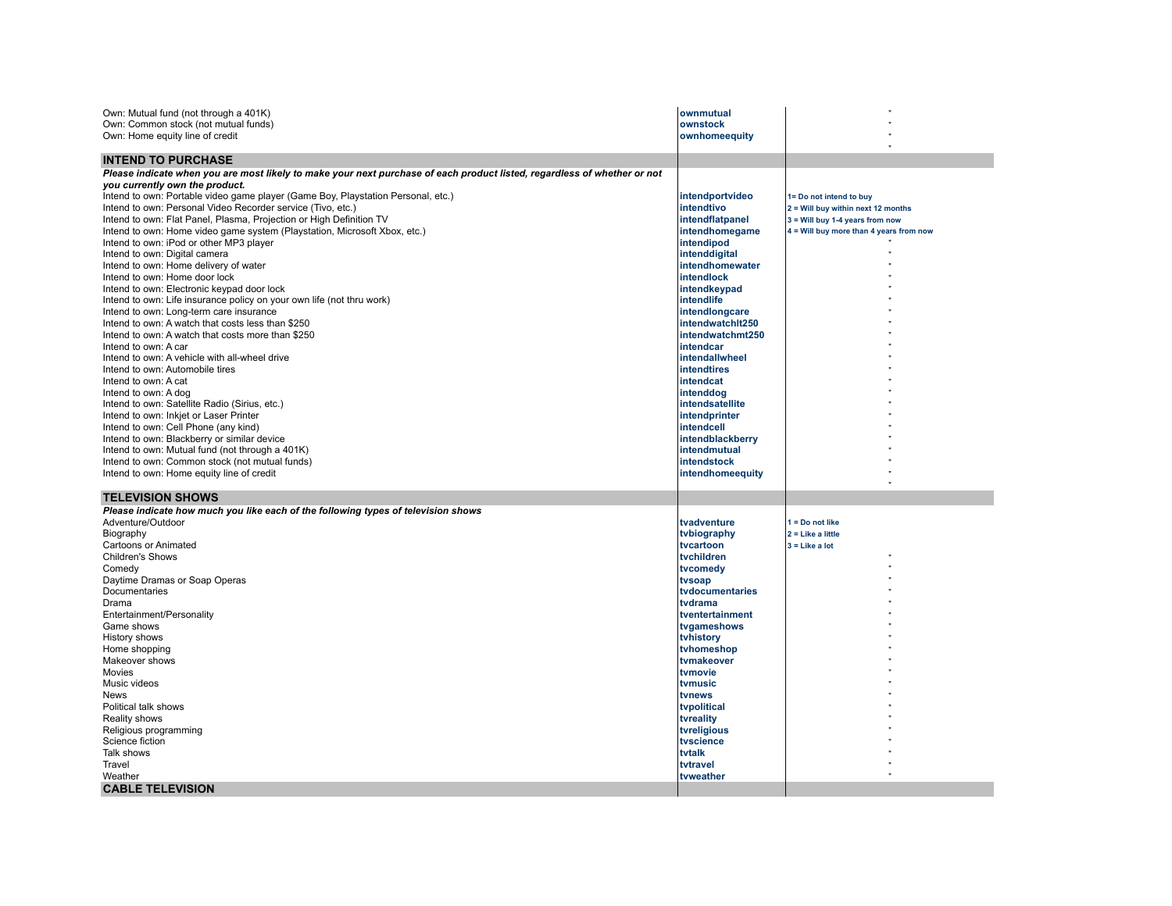| Own: Mutual fund (not through a 401K)<br>Own: Common stock (not mutual funds)<br>Own: Home equity line of credit         | ownmutual<br>ownstock<br>ownhomeequity |                                         |
|--------------------------------------------------------------------------------------------------------------------------|----------------------------------------|-----------------------------------------|
| <b>INTEND TO PURCHASE</b>                                                                                                |                                        |                                         |
| Please indicate when you are most likely to make your next purchase of each product listed, regardless of whether or not |                                        |                                         |
| you currently own the product.                                                                                           |                                        |                                         |
| Intend to own: Portable video game player (Game Boy, Playstation Personal, etc.)                                         | intendportvideo                        | 1= Do not intend to buy                 |
| Intend to own: Personal Video Recorder service (Tivo, etc.)                                                              | intendtivo                             | 2 = Will buy within next 12 months      |
| Intend to own: Flat Panel, Plasma, Projection or High Definition TV                                                      | intendflatpanel                        | 3 = Will buy 1-4 years from now         |
| Intend to own: Home video game system (Playstation, Microsoft Xbox, etc.)                                                | intendhomegame                         | 4 = Will buy more than 4 years from now |
| Intend to own: iPod or other MP3 player                                                                                  | intendipod                             |                                         |
| Intend to own: Digital camera                                                                                            | intenddigital                          |                                         |
| Intend to own: Home delivery of water<br>Intend to own: Home door lock                                                   | intendhomewater<br><b>intendlock</b>   |                                         |
| Intend to own: Electronic keypad door lock                                                                               | intendkeypad                           |                                         |
| Intend to own: Life insurance policy on your own life (not thru work)                                                    | intendlife                             |                                         |
| Intend to own: Long-term care insurance                                                                                  | intendlongcare                         |                                         |
| Intend to own: A watch that costs less than \$250                                                                        | intendwatchlt250                       |                                         |
| Intend to own: A watch that costs more than \$250                                                                        | intendwatchmt250                       |                                         |
| Intend to own: A car                                                                                                     | <b>Intendcar</b>                       |                                         |
| Intend to own: A vehicle with all-wheel drive                                                                            | <b>intendallwheel</b>                  |                                         |
| Intend to own: Automobile tires                                                                                          | <b>Intendtires</b>                     |                                         |
| Intend to own: A cat                                                                                                     | intendcat                              |                                         |
| Intend to own: A dog                                                                                                     | intenddog                              |                                         |
| Intend to own: Satellite Radio (Sirius, etc.)                                                                            | intendsatellite                        |                                         |
| Intend to own: Inkjet or Laser Printer                                                                                   | intendprinter                          |                                         |
| Intend to own: Cell Phone (any kind)                                                                                     | intendcell                             |                                         |
| Intend to own: Blackberry or similar device                                                                              | intendblackberry                       |                                         |
| Intend to own: Mutual fund (not through a 401K)                                                                          | intendmutual                           |                                         |
| Intend to own: Common stock (not mutual funds)                                                                           | intendstock                            |                                         |
| Intend to own: Home equity line of credit                                                                                | intendhomeequity                       |                                         |
| <b>TELEVISION SHOWS</b>                                                                                                  |                                        |                                         |
| Please indicate how much you like each of the following types of television shows                                        |                                        |                                         |
| Adventure/Outdoor                                                                                                        | tvadventure                            | $1 = Do$ not like                       |
| Biography                                                                                                                | tvbiography                            | $2 =$ Like a little                     |
| <b>Cartoons or Animated</b>                                                                                              | tvcartoon                              | $3 =$ Like a lot                        |
| Children's Shows                                                                                                         | tvchildren                             |                                         |
| Comedy                                                                                                                   | tvcomedy                               |                                         |
| Daytime Dramas or Soap Operas<br>Documentaries                                                                           | tvsoap<br>tvdocumentaries              |                                         |
| Drama                                                                                                                    | tvdrama                                |                                         |
| Entertainment/Personality                                                                                                | tventertainment                        |                                         |
| Game shows                                                                                                               | tvgameshows                            |                                         |
| History shows                                                                                                            | tvhistory                              |                                         |
| Home shopping                                                                                                            | tvhomeshop                             |                                         |
| Makeover shows                                                                                                           | tvmakeover                             |                                         |
| Movies                                                                                                                   | tvmovie                                |                                         |
| Music videos                                                                                                             | tvmusic                                |                                         |
| News                                                                                                                     | tvnews                                 |                                         |
| Political talk shows                                                                                                     | tvpolitical                            |                                         |
| Reality shows                                                                                                            | tvreality                              |                                         |
| Religious programming                                                                                                    | tvreligious                            |                                         |
| Science fiction                                                                                                          | tvscience                              |                                         |
| Talk shows                                                                                                               | tvtalk                                 |                                         |
| Travel                                                                                                                   | tvtravel                               |                                         |
| Weather                                                                                                                  | tvweather                              |                                         |
| <b>CABLE TELEVISION</b>                                                                                                  |                                        |                                         |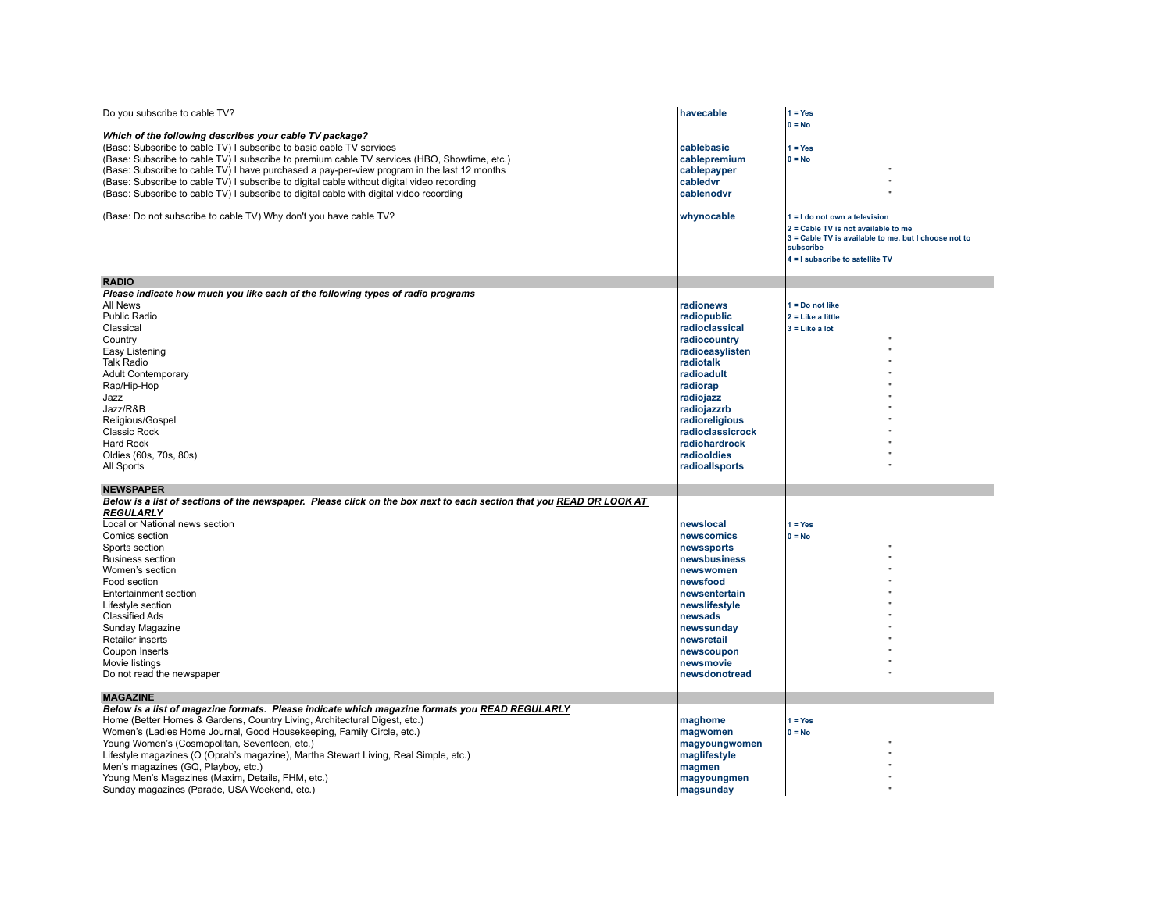| Do you subscribe to cable TV?                                                                                                                                                                                                                                                                                                                                                                                                                                                                                                                                | havecable                                                                                                                                                                                                                                | $1 = Yes$                                                                                                                                                                    |
|--------------------------------------------------------------------------------------------------------------------------------------------------------------------------------------------------------------------------------------------------------------------------------------------------------------------------------------------------------------------------------------------------------------------------------------------------------------------------------------------------------------------------------------------------------------|------------------------------------------------------------------------------------------------------------------------------------------------------------------------------------------------------------------------------------------|------------------------------------------------------------------------------------------------------------------------------------------------------------------------------|
| Which of the following describes your cable TV package?<br>(Base: Subscribe to cable TV) I subscribe to basic cable TV services<br>(Base: Subscribe to cable TV) I subscribe to premium cable TV services (HBO, Showtime, etc.)<br>(Base: Subscribe to cable TV) I have purchased a pay-per-view program in the last 12 months<br>(Base: Subscribe to cable TV) I subscribe to digital cable without digital video recording<br>(Base: Subscribe to cable TV) I subscribe to digital cable with digital video recording                                      | cablebasic<br>cablepremium<br>cablepayper<br>cabledvr<br>cablenodvr                                                                                                                                                                      | $0 = No$<br>$1 = Yes$<br>$0 = No$                                                                                                                                            |
| (Base: Do not subscribe to cable TV) Why don't you have cable TV?                                                                                                                                                                                                                                                                                                                                                                                                                                                                                            | whynocable                                                                                                                                                                                                                               | 1 = I do not own a television<br>2 = Cable TV is not available to me<br>3 = Cable TV is available to me, but I choose not to<br>subscribe<br>4 = I subscribe to satellite TV |
|                                                                                                                                                                                                                                                                                                                                                                                                                                                                                                                                                              |                                                                                                                                                                                                                                          |                                                                                                                                                                              |
| <b>RADIO</b><br>Please indicate how much you like each of the following types of radio programs<br>All News<br>Public Radio<br>Classical<br>Country<br>Easy Listening<br>Talk Radio<br><b>Adult Contemporary</b><br>Rap/Hip-Hop<br>Jazz<br>Jazz/R&B<br>Religious/Gospel<br>Classic Rock<br>Hard Rock<br>Oldies (60s, 70s, 80s)<br>All Sports                                                                                                                                                                                                                 | radionews<br>radiopublic<br>radioclassical<br>radiocountry<br>radioeasylisten<br>radiotalk<br>radioadult<br>radiorap<br>radiojazz<br>radiojazzrb<br>radioreligious<br>radioclassicrock<br>radiohardrock<br>radiooldies<br>radioallsports | $1 = Do$ not like<br>$2 =$ Like a little<br>$3 =$ Like a lot                                                                                                                 |
| <b>NEWSPAPER</b>                                                                                                                                                                                                                                                                                                                                                                                                                                                                                                                                             |                                                                                                                                                                                                                                          |                                                                                                                                                                              |
| Below is a list of sections of the newspaper. Please click on the box next to each section that you READ OR LOOK AT<br>REGULARLY<br>Local or National news section<br>Comics section<br>Sports section<br><b>Business section</b><br>Women's section<br>Food section<br><b>Entertainment section</b><br>Lifestyle section<br><b>Classified Ads</b><br>Sunday Magazine<br><b>Retailer inserts</b><br>Coupon Inserts<br>Movie listings<br>Do not read the newspaper                                                                                            | newslocal<br>newscomics<br>newssports<br>newsbusiness<br>newswomen<br>newsfood<br>newsentertain<br>newslifestyle<br>newsads<br>newssunday<br>newsretail<br>newscoupon<br>newsmovie<br>newsdonotread                                      | $1 = Yes$<br>$0 = No$                                                                                                                                                        |
| <b>MAGAZINE</b><br>Below is a list of magazine formats. Please indicate which magazine formats you READ REGULARLY<br>Home (Better Homes & Gardens, Country Living, Architectural Digest, etc.)<br>Women's (Ladies Home Journal, Good Housekeeping, Family Circle, etc.)<br>Young Women's (Cosmopolitan, Seventeen, etc.)<br>Lifestyle magazines (O (Oprah's magazine), Martha Stewart Living, Real Simple, etc.)<br>Men's magazines (GQ, Playboy, etc.)<br>Young Men's Magazines (Maxim, Details, FHM, etc.)<br>Sunday magazines (Parade, USA Weekend, etc.) | maghome<br>magwomen<br>magyoungwomen<br>maglifestyle<br>magmen<br>magyoungmen<br>magsunday                                                                                                                                               | $1 = Yes$<br>$0 = No$                                                                                                                                                        |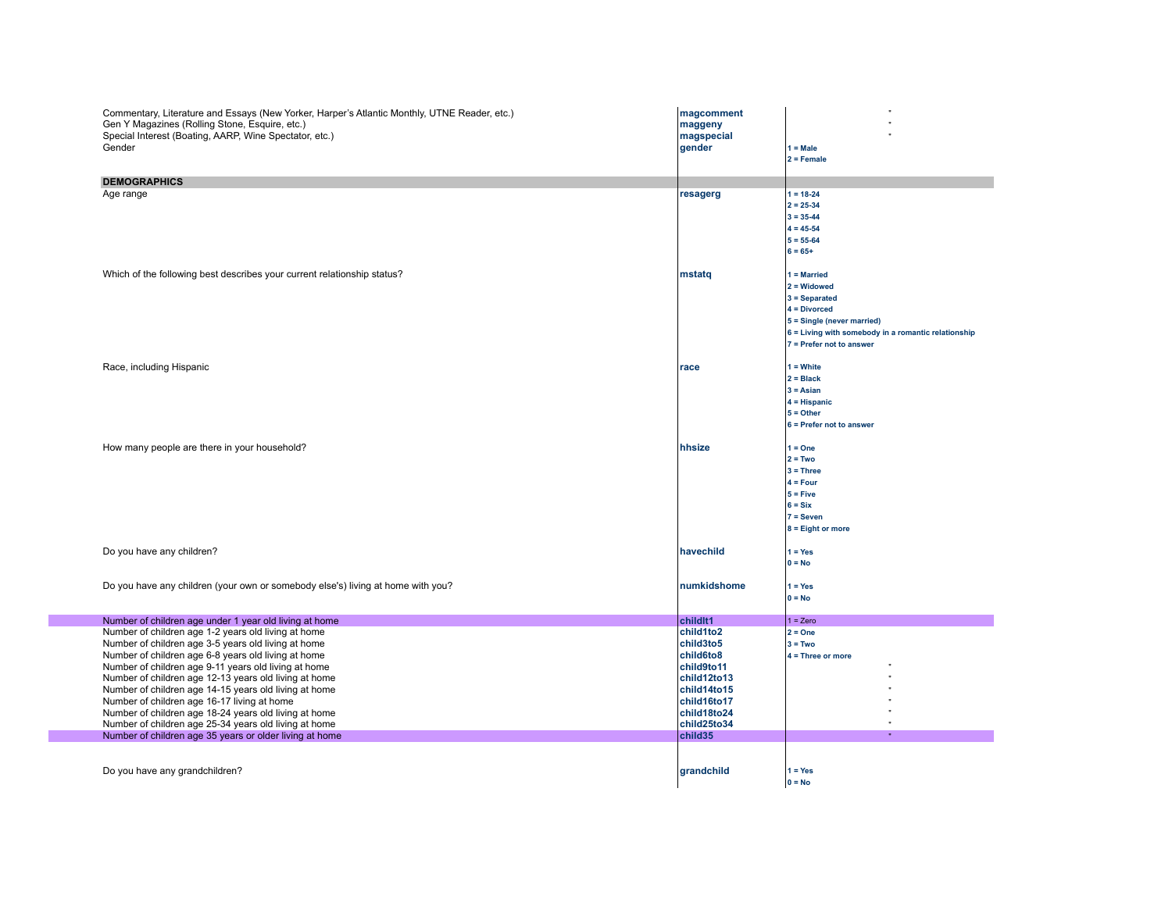| Commentary, Literature and Essays (New Yorker, Harper's Atlantic Monthly, UTNE Reader, etc.)<br>Gen Y Magazines (Rolling Stone, Esquire, etc.)<br>Special Interest (Boating, AARP, Wine Spectator, etc.)<br>Gender                                                                                                                                                                                                                                                                                                                                                      | magcomment<br>maggeny<br>magspecial<br>gender                                                                                           | $1 = Male$<br>$2 =$ Female                                                                                                                                                             |
|-------------------------------------------------------------------------------------------------------------------------------------------------------------------------------------------------------------------------------------------------------------------------------------------------------------------------------------------------------------------------------------------------------------------------------------------------------------------------------------------------------------------------------------------------------------------------|-----------------------------------------------------------------------------------------------------------------------------------------|----------------------------------------------------------------------------------------------------------------------------------------------------------------------------------------|
| <b>DEMOGRAPHICS</b>                                                                                                                                                                                                                                                                                                                                                                                                                                                                                                                                                     |                                                                                                                                         |                                                                                                                                                                                        |
| Age range                                                                                                                                                                                                                                                                                                                                                                                                                                                                                                                                                               | resagerg                                                                                                                                | $1 = 18 - 24$<br>$2 = 25 - 34$<br>$3 = 35 - 44$<br>$4 = 45 - 54$<br>$5 = 55 - 64$<br>$6 = 65+$                                                                                         |
| Which of the following best describes your current relationship status?                                                                                                                                                                                                                                                                                                                                                                                                                                                                                                 | mstatq                                                                                                                                  | $1 =$ Married<br>$2 = Widowed$<br>$3 =$ Separated<br>$4 = Divorced$<br>5 = Single (never married)<br>6 = Living with somebody in a romantic relationship<br>$7$ = Prefer not to answer |
| Race, including Hispanic                                                                                                                                                                                                                                                                                                                                                                                                                                                                                                                                                | race                                                                                                                                    | $1 = White$<br>$2 = Black$<br>$3 = Asian$<br>$4 = Hispanic$<br>$5 = Other$<br>6 = Prefer not to answer                                                                                 |
| How many people are there in your household?                                                                                                                                                                                                                                                                                                                                                                                                                                                                                                                            | hhsize                                                                                                                                  | $1 = One$<br>$2 = Two$<br>$3 = Three$<br>$4 = Four$<br>$5 =$ Five<br>$6 = Six$<br>$7 =$ Seven<br>$8 =$ Eight or more                                                                   |
| Do you have any children?                                                                                                                                                                                                                                                                                                                                                                                                                                                                                                                                               | havechild                                                                                                                               | $1 = Yes$<br>$0 = No$                                                                                                                                                                  |
| Do you have any children (your own or somebody else's) living at home with you?                                                                                                                                                                                                                                                                                                                                                                                                                                                                                         | numkidshome                                                                                                                             | $1 = Yes$<br>$0 = No$                                                                                                                                                                  |
| Number of children age under 1 year old living at home                                                                                                                                                                                                                                                                                                                                                                                                                                                                                                                  | childlt1                                                                                                                                | $1 = Zero$                                                                                                                                                                             |
| Number of children age 1-2 years old living at home<br>Number of children age 3-5 years old living at home<br>Number of children age 6-8 years old living at home<br>Number of children age 9-11 years old living at home<br>Number of children age 12-13 years old living at home<br>Number of children age 14-15 years old living at home<br>Number of children age 16-17 living at home<br>Number of children age 18-24 years old living at home<br>Number of children age 25-34 years old living at home<br>Number of children age 35 years or older living at home | child1to2<br>child3to5<br>child6to8<br>child9to11<br>child12to13<br>child14to15<br>child16to17<br>child18to24<br>child25to34<br>child35 | $2 = One$<br>$3 = Two$<br>$4 =$ Three or more                                                                                                                                          |
| Do you have any grandchildren?                                                                                                                                                                                                                                                                                                                                                                                                                                                                                                                                          | grandchild                                                                                                                              | $1 = Yes$<br>$0 = No$                                                                                                                                                                  |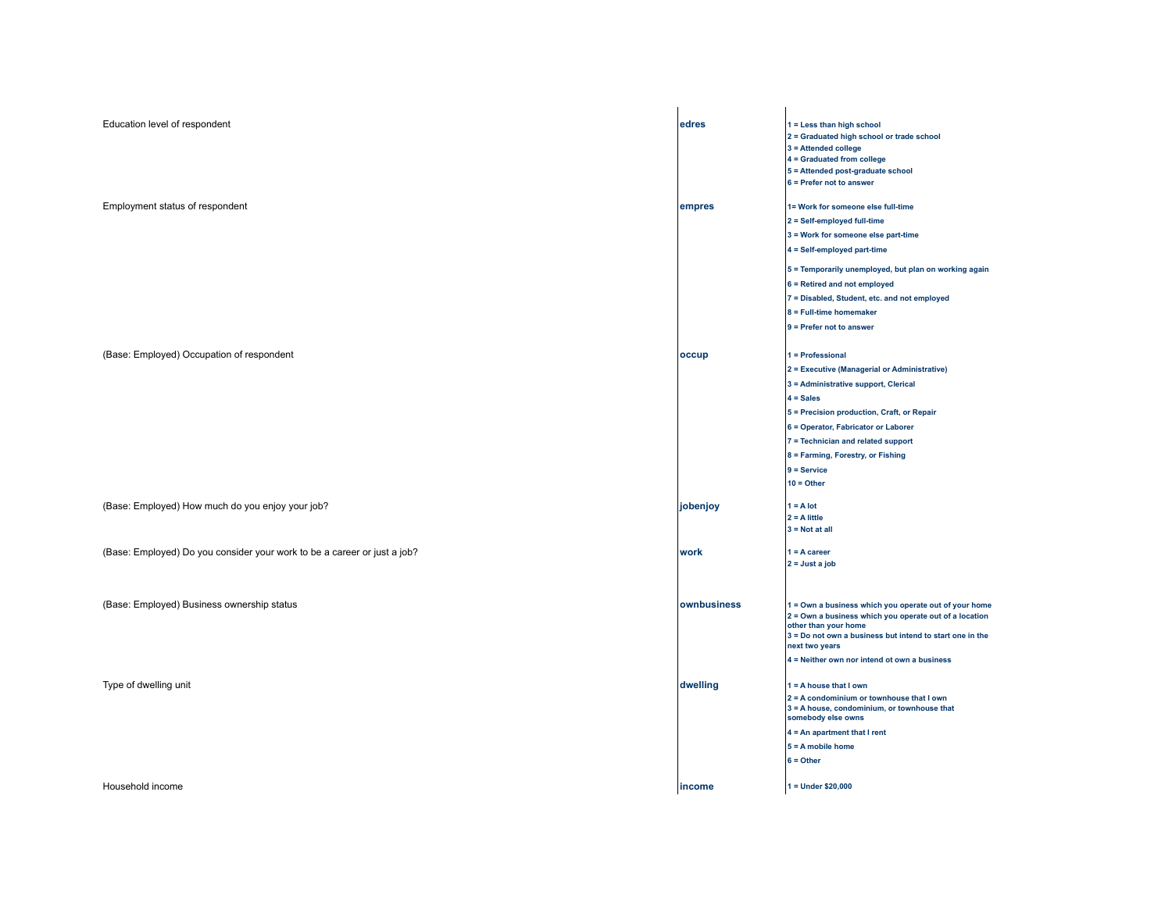| Education level of respondent                                            | edres       | 1 = Less than high school<br>2 = Graduated high school or trade school<br>3 = Attended college<br>4 = Graduated from college<br>5 = Attended post-graduate school<br>6 = Prefer not to answer       |
|--------------------------------------------------------------------------|-------------|-----------------------------------------------------------------------------------------------------------------------------------------------------------------------------------------------------|
|                                                                          |             |                                                                                                                                                                                                     |
| Employment status of respondent                                          | empres      | 1= Work for someone else full-time                                                                                                                                                                  |
|                                                                          |             | 2 = Self-employed full-time<br>3 = Work for someone else part-time                                                                                                                                  |
|                                                                          |             | 4 = Self-employed part-time                                                                                                                                                                         |
|                                                                          |             |                                                                                                                                                                                                     |
|                                                                          |             | 5 = Temporarily unemployed, but plan on working again                                                                                                                                               |
|                                                                          |             | 6 = Retired and not employed                                                                                                                                                                        |
|                                                                          |             | 7 = Disabled, Student, etc. and not employed                                                                                                                                                        |
|                                                                          |             | 8 = Full-time homemaker<br>9 = Prefer not to answer                                                                                                                                                 |
|                                                                          |             |                                                                                                                                                                                                     |
| (Base: Employed) Occupation of respondent                                | occup       | 1 = Professional                                                                                                                                                                                    |
|                                                                          |             | 2 = Executive (Managerial or Administrative)                                                                                                                                                        |
|                                                                          |             | 3 = Administrative support, Clerical                                                                                                                                                                |
|                                                                          |             | $4 = Sales$                                                                                                                                                                                         |
|                                                                          |             | 5 = Precision production, Craft, or Repair                                                                                                                                                          |
|                                                                          |             | 6 = Operator, Fabricator or Laborer                                                                                                                                                                 |
|                                                                          |             | 7 = Technician and related support                                                                                                                                                                  |
|                                                                          |             | 8 = Farming, Forestry, or Fishing                                                                                                                                                                   |
|                                                                          |             | $9 =$ Service                                                                                                                                                                                       |
|                                                                          |             | $10 = Other$                                                                                                                                                                                        |
| (Base: Employed) How much do you enjoy your job?                         | jobenjoy    | $1 = A$ lot                                                                                                                                                                                         |
|                                                                          |             | $2 = A$ little                                                                                                                                                                                      |
|                                                                          |             | $3 = Not at all$                                                                                                                                                                                    |
| (Base: Employed) Do you consider your work to be a career or just a job? | work        | $1 = A career$                                                                                                                                                                                      |
|                                                                          |             | $2 =$ Just a job                                                                                                                                                                                    |
|                                                                          |             |                                                                                                                                                                                                     |
| (Base: Employed) Business ownership status                               | ownbusiness | 1 = Own a business which you operate out of your home<br>2 = Own a business which you operate out of a location<br>other than your home<br>3 = Do not own a business but intend to start one in the |
|                                                                          |             | next two years                                                                                                                                                                                      |
|                                                                          |             | 4 = Neither own nor intend ot own a business                                                                                                                                                        |
| Type of dwelling unit                                                    | dwelling    | $1 = A$ house that I own                                                                                                                                                                            |
|                                                                          |             | 2 = A condominium or townhouse that I own<br>3 = A house, condominium, or townhouse that<br>somebody else owns                                                                                      |
|                                                                          |             | $4 = An$ apartment that I rent                                                                                                                                                                      |
|                                                                          |             | $5 = A$ mobile home                                                                                                                                                                                 |
|                                                                          |             | $6 = Other$                                                                                                                                                                                         |
| Household income                                                         | income      | $1 =$ Under \$20,000                                                                                                                                                                                |
|                                                                          |             |                                                                                                                                                                                                     |